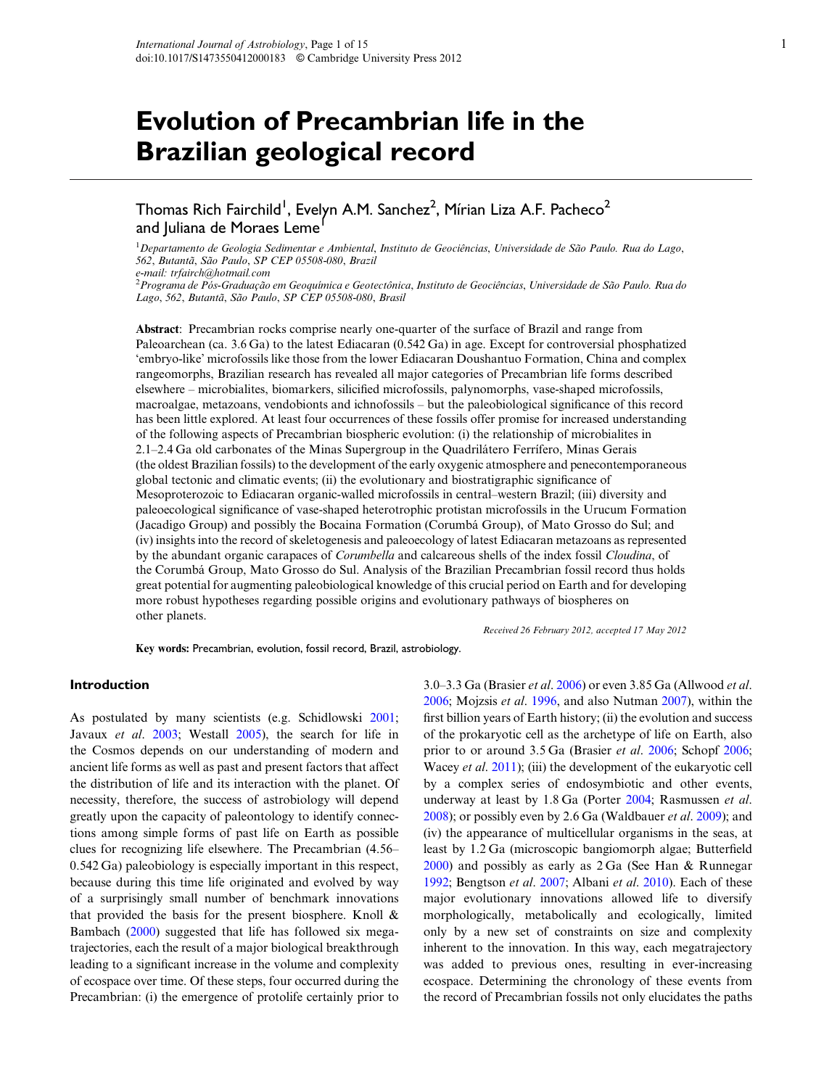# Evolution of Precambrian life in the Brazilian geological record

# Thomas Rich Fairchild<sup>1</sup>, Evelyn A.M. Sanchez<sup>2</sup>, Mírian Liza A.F. Pacheco<sup>2</sup> and Juliana de Moraes Leme

<sup>1</sup> Departamento de Geologia Sedimentar e Ambiental, Instituto de Geociências, Universidade de São Paulo. Rua do Lago, 562, Butantã, São Paulo, SP CEP 05508-080, Brazil e-mail: trfairch@hotmail.com

2 Programa de Pós-Graduação em Geoquímica e Geotectônica, Instituto de Geociências, Universidade de São Paulo. Rua do Lago, 562, Butantã, São Paulo, SP CEP 05508-080, Brasil

Abstract: Precambrian rocks comprise nearly one-quarter of the surface of Brazil and range from Paleoarchean (ca. 3.6 Ga) to the latest Ediacaran (0.542 Ga) in age. Except for controversial phosphatized 'embryo-like' microfossils like those from the lower Ediacaran Doushantuo Formation, China and complex rangeomorphs, Brazilian research has revealed all major categories of Precambrian life forms described elsewhere – microbialites, biomarkers, silicified microfossils, palynomorphs, vase-shaped microfossils, macroalgae, metazoans, vendobionts and ichnofossils – but the paleobiological significance of this record has been little explored. At least four occurrences of these fossils offer promise for increased understanding of the following aspects of Precambrian biospheric evolution: (i) the relationship of microbialites in 2.1–2.4 Ga old carbonates of the Minas Supergroup in the Quadrilátero Ferrífero, Minas Gerais (the oldest Brazilian fossils) to the development of the early oxygenic atmosphere and penecontemporaneous global tectonic and climatic events; (ii) the evolutionary and biostratigraphic significance of Mesoproterozoic to Ediacaran organic-walled microfossils in central–western Brazil; (iii) diversity and paleoecological significance of vase-shaped heterotrophic protistan microfossils in the Urucum Formation (Jacadigo Group) and possibly the Bocaina Formation (Corumbá Group), of Mato Grosso do Sul; and (iv) insights into the record of skeletogenesis and paleoecology of latest Ediacaran metazoans as represented by the abundant organic carapaces of Corumbella and calcareous shells of the index fossil Cloudina, of the Corumbá Group, Mato Grosso do Sul. Analysis of the Brazilian Precambrian fossil record thus holds great potential for augmenting paleobiological knowledge of this crucial period on Earth and for developing more robust hypotheses regarding possible origins and evolutionary pathways of biospheres on other planets.

Received 26 February 2012, accepted 17 May 2012

Key words: Precambrian, evolution, fossil record, Brazil, astrobiology.

## Introduction

As postulated by many scientists (e.g. Schidlowski [2001;](#page-13-0) Javaux et al. [2003;](#page-12-0) Westall [2005\)](#page-14-0), the search for life in the Cosmos depends on our understanding of modern and ancient life forms as well as past and present factors that affect the distribution of life and its interaction with the planet. Of necessity, therefore, the success of astrobiology will depend greatly upon the capacity of paleontology to identify connections among simple forms of past life on Earth as possible clues for recognizing life elsewhere. The Precambrian (4.56– 0.542 Ga) paleobiology is especially important in this respect, because during this time life originated and evolved by way of a surprisingly small number of benchmark innovations that provided the basis for the present biosphere. Knoll  $\&$ Bambach [\(2000\)](#page-12-0) suggested that life has followed six megatrajectories, each the result of a major biological breakthrough leading to a significant increase in the volume and complexity of ecospace over time. Of these steps, four occurred during the Precambrian: (i) the emergence of protolife certainly prior to

3.0–3.3 Ga (Brasier et al. [2006\)](#page-11-0) or even 3.85 Ga (Allwood et al. [2006;](#page-10-0) Mojzsis et al. [1996](#page-13-0), and also Nutman [2007](#page-13-0)), within the first billion years of Earth history; (ii) the evolution and success of the prokaryotic cell as the archetype of life on Earth, also prior to or around 3.5 Ga (Brasier *et al.* [2006;](#page-14-0) Schopf 2006; Wacey et al. [2011](#page-14-0)); (iii) the development of the eukaryotic cell by a complex series of endosymbiotic and other events, underway at least by 1.8 Ga (Porter [2004](#page-13-0); Rasmussen et al.  $2008$ ); or possibly even by 2.6 Ga (Waldbauer *et al.* [2009\)](#page-14-0); and (iv) the appearance of multicellular organisms in the seas, at least by 1.2 Ga (microscopic bangiomorph algae; Butterfield [2000\)](#page-11-0) and possibly as early as 2 Ga (See Han & Runnegar [1992;](#page-12-0) Bengtson et al. [2007](#page-11-0); Albani et al. [2010\)](#page-10-0). Each of these major evolutionary innovations allowed life to diversify morphologically, metabolically and ecologically, limited only by a new set of constraints on size and complexity inherent to the innovation. In this way, each megatrajectory was added to previous ones, resulting in ever-increasing ecospace. Determining the chronology of these events from the record of Precambrian fossils not only elucidates the paths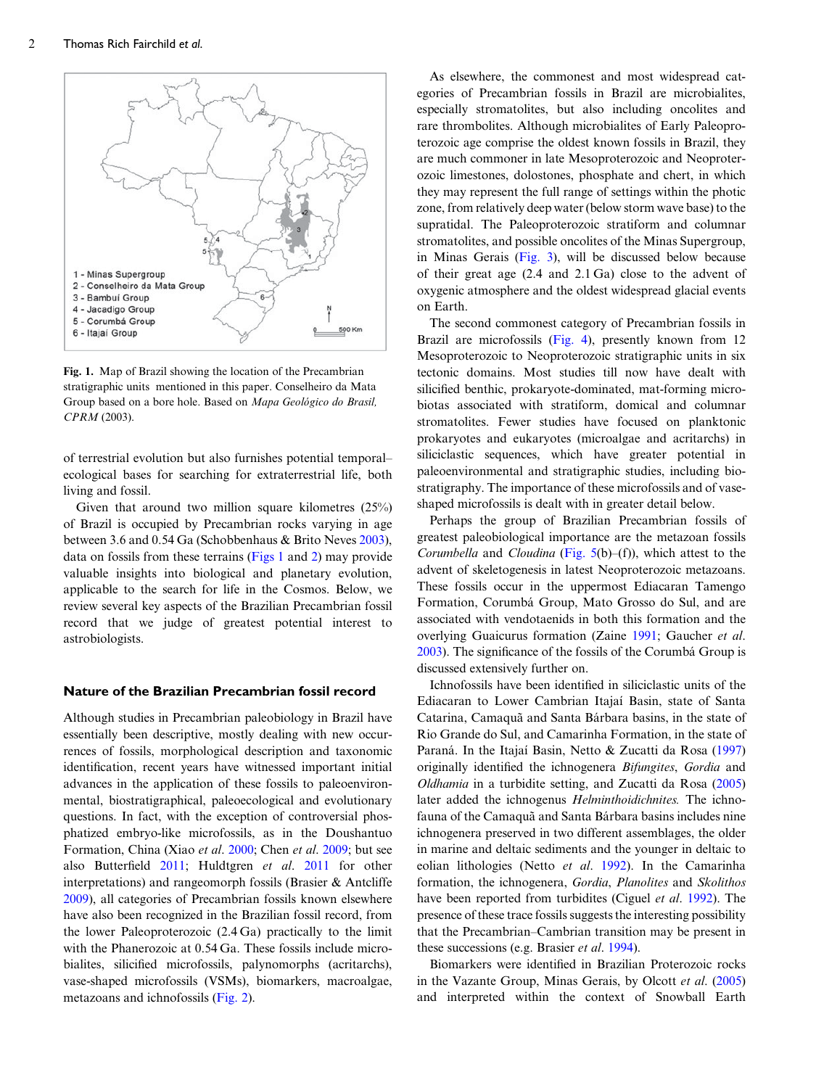<span id="page-1-0"></span>

Fig. 1. Map of Brazil showing the location of the Precambrian stratigraphic units mentioned in this paper. Conselheiro da Mata Group based on a bore hole. Based on Mapa Geológico do Brasil, CPRM (2003).

of terrestrial evolution but also furnishes potential temporal– ecological bases for searching for extraterrestrial life, both living and fossil.

Given that around two million square kilometres (25%) of Brazil is occupied by Precambrian rocks varying in age between 3.6 and 0.54 Ga (Schobbenhaus & Brito Neves [2003\)](#page-13-0), data on fossils from these terrains (Figs 1 and [2\)](#page-2-0) may provide valuable insights into biological and planetary evolution, applicable to the search for life in the Cosmos. Below, we review several key aspects of the Brazilian Precambrian fossil record that we judge of greatest potential interest to astrobiologists.

#### Nature of the Brazilian Precambrian fossil record

Although studies in Precambrian paleobiology in Brazil have essentially been descriptive, mostly dealing with new occurrences of fossils, morphological description and taxonomic identification, recent years have witnessed important initial advances in the application of these fossils to paleoenvironmental, biostratigraphical, paleoecological and evolutionary questions. In fact, with the exception of controversial phosphatized embryo-like microfossils, as in the Doushantuo Formation, China (Xiao et al. [2000](#page-14-0); Chen et al. [2009;](#page-11-0) but see also Butterfield [2011](#page-11-0); Huldtgren et al. [2011](#page-12-0) for other interpretations) and rangeomorph fossils (Brasier & Antcliffe [2009\)](#page-11-0), all categories of Precambrian fossils known elsewhere have also been recognized in the Brazilian fossil record, from the lower Paleoproterozoic (2.4 Ga) practically to the limit with the Phanerozoic at 0.54 Ga. These fossils include microbialites, silicified microfossils, palynomorphs (acritarchs), vase-shaped microfossils (VSMs), biomarkers, macroalgae, metazoans and ichnofossils ([Fig. 2\)](#page-2-0).

As elsewhere, the commonest and most widespread categories of Precambrian fossils in Brazil are microbialites, especially stromatolites, but also including oncolites and rare thrombolites. Although microbialites of Early Paleoproterozoic age comprise the oldest known fossils in Brazil, they are much commoner in late Mesoproterozoic and Neoproterozoic limestones, dolostones, phosphate and chert, in which they may represent the full range of settings within the photic zone, from relatively deep water (below storm wave base) to the supratidal. The Paleoproterozoic stratiform and columnar stromatolites, and possible oncolites of the Minas Supergroup, in Minas Gerais ([Fig. 3\)](#page-3-0), will be discussed below because of their great age (2.4 and 2.1 Ga) close to the advent of oxygenic atmosphere and the oldest widespread glacial events on Earth.

The second commonest category of Precambrian fossils in Brazil are microfossils [\(Fig. 4\)](#page-4-0), presently known from 12 Mesoproterozoic to Neoproterozoic stratigraphic units in six tectonic domains. Most studies till now have dealt with silicified benthic, prokaryote-dominated, mat-forming microbiotas associated with stratiform, domical and columnar stromatolites. Fewer studies have focused on planktonic prokaryotes and eukaryotes (microalgae and acritarchs) in siliciclastic sequences, which have greater potential in paleoenvironmental and stratigraphic studies, including biostratigraphy. The importance of these microfossils and of vaseshaped microfossils is dealt with in greater detail below.

Perhaps the group of Brazilian Precambrian fossils of greatest paleobiological importance are the metazoan fossils Corumbella and Cloudina (Fig.  $5(b)$ –(f)), which attest to the advent of skeletogenesis in latest Neoproterozoic metazoans. These fossils occur in the uppermost Ediacaran Tamengo Formation, Corumbá Group, Mato Grosso do Sul, and are associated with vendotaenids in both this formation and the overlying Guaicurus formation (Zaine [1991;](#page-14-0) Gaucher et al. [2003\)](#page-12-0). The significance of the fossils of the Corumbá Group is discussed extensively further on.

Ichnofossils have been identified in siliciclastic units of the Ediacaran to Lower Cambrian Itajaí Basin, state of Santa Catarina, Camaquã and Santa Bárbara basins, in the state of Rio Grande do Sul, and Camarinha Formation, in the state of Paraná. In the Itajaí Basin, Netto & Zucatti da Rosa ([1997](#page-13-0)) originally identified the ichnogenera Bifungites, Gordia and Oldhamia in a turbidite setting, and Zucatti da Rosa ([2005](#page-14-0)) later added the ichnogenus Helminthoidichnites. The ichnofauna of the Camaquã and Santa Bárbara basins includes nine ichnogenera preserved in two different assemblages, the older in marine and deltaic sediments and the younger in deltaic to eolian lithologies (Netto et al. [1992](#page-13-0)). In the Camarinha formation, the ichnogenera, Gordia, Planolites and Skolithos have been reported from turbidites (Ciguel *et al.* [1992](#page-11-0)). The presence of these trace fossils suggests the interesting possibility that the Precambrian–Cambrian transition may be present in these successions (e.g. Brasier et al. [1994](#page-11-0)).

Biomarkers were identified in Brazilian Proterozoic rocks in the Vazante Group, Minas Gerais, by Olcott et al. ([2005](#page-13-0)) and interpreted within the context of Snowball Earth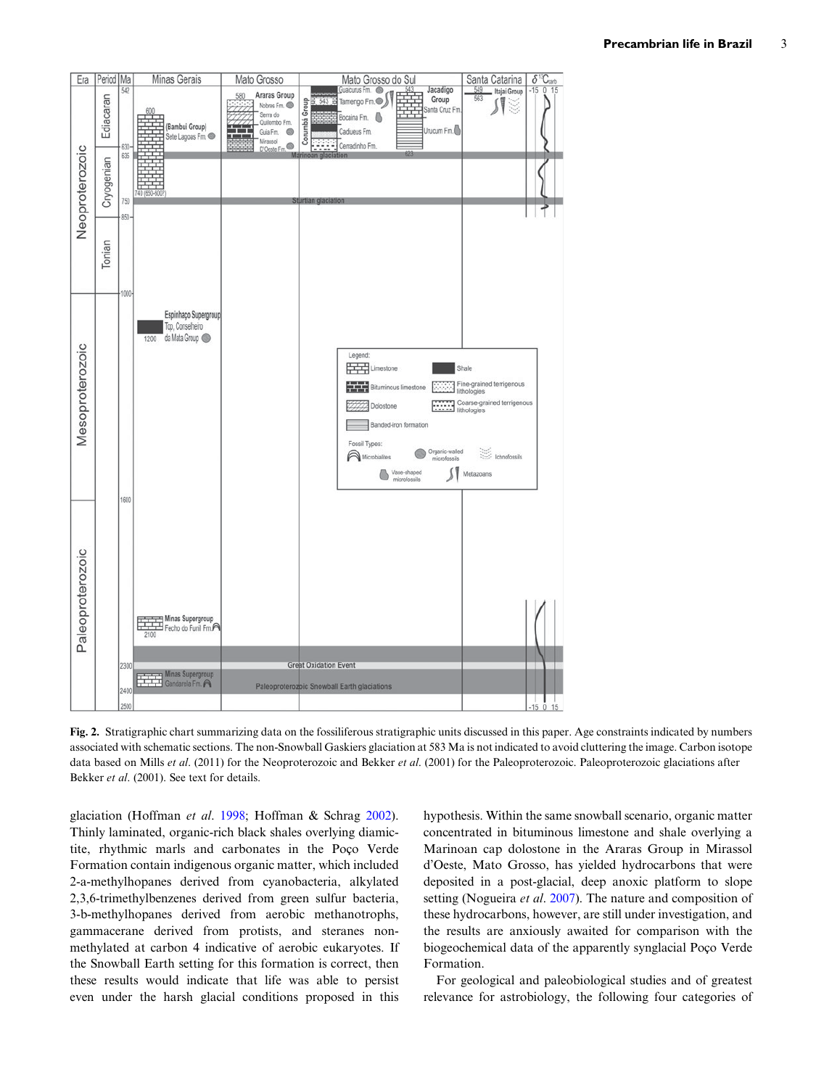<span id="page-2-0"></span>

Fig. 2. Stratigraphic chart summarizing data on the fossiliferous stratigraphic units discussed in this paper. Age constraints indicated by numbers associated with schematic sections. The non-Snowball Gaskiers glaciation at 583 Ma is not indicated to avoid cluttering the image. Carbon isotope data based on Mills et al. (2011) for the Neoproterozoic and Bekker et al. (2001) for the Paleoproterozoic. Paleoproterozoic glaciations after Bekker et al. (2001). See text for details.

glaciation (Hoffman et al. [1998](#page-12-0); Hoffman & Schrag [2002\)](#page-12-0). Thinly laminated, organic-rich black shales overlying diamictite, rhythmic marls and carbonates in the Poço Verde Formation contain indigenous organic matter, which included 2-a-methylhopanes derived from cyanobacteria, alkylated 2,3,6-trimethylbenzenes derived from green sulfur bacteria, 3-b-methylhopanes derived from aerobic methanotrophs, gammacerane derived from protists, and steranes nonmethylated at carbon 4 indicative of aerobic eukaryotes. If the Snowball Earth setting for this formation is correct, then these results would indicate that life was able to persist even under the harsh glacial conditions proposed in this hypothesis. Within the same snowball scenario, organic matter concentrated in bituminous limestone and shale overlying a Marinoan cap dolostone in the Araras Group in Mirassol d'Oeste, Mato Grosso, has yielded hydrocarbons that were deposited in a post-glacial, deep anoxic platform to slope setting (Nogueira *et al.* [2007\)](#page-13-0). The nature and composition of these hydrocarbons, however, are still under investigation, and the results are anxiously awaited for comparison with the biogeochemical data of the apparently synglacial Poço Verde Formation.

For geological and paleobiological studies and of greatest relevance for astrobiology, the following four categories of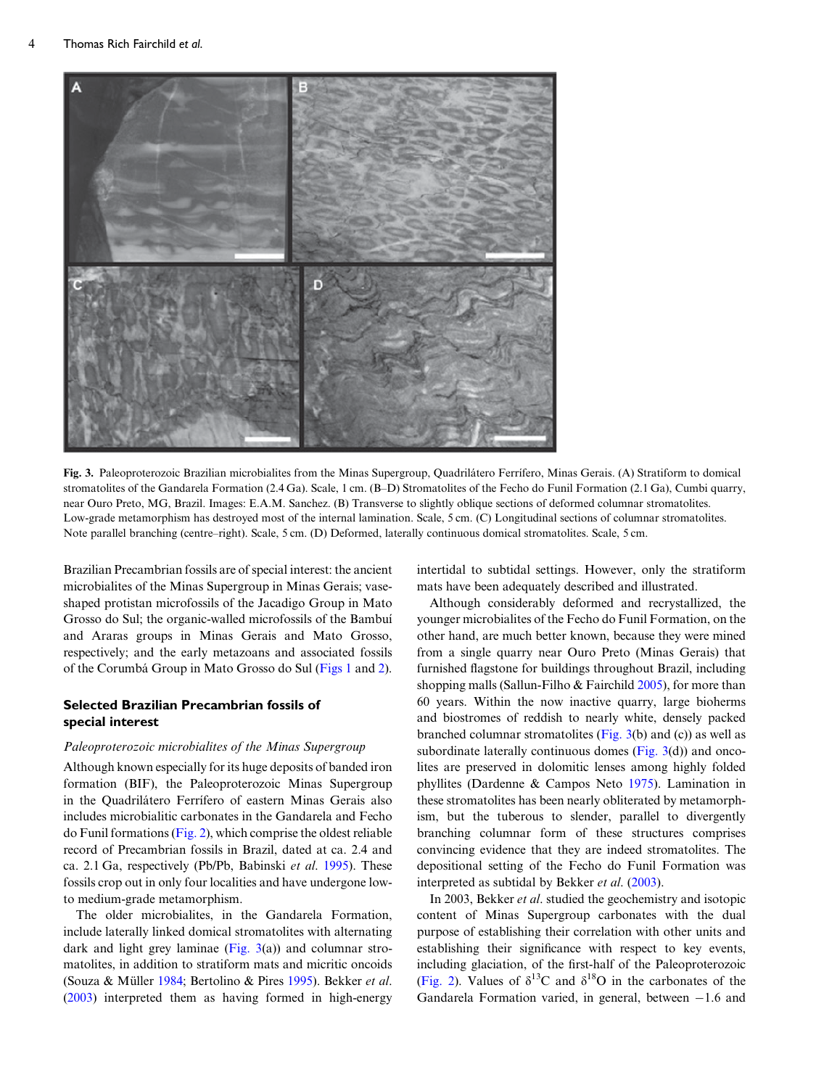<span id="page-3-0"></span>

Fig. 3. Paleoproterozoic Brazilian microbialites from the Minas Supergroup, Quadrilátero Ferrífero, Minas Gerais. (A) Stratiform to domical stromatolites of the Gandarela Formation (2.4 Ga). Scale, 1 cm. (B–D) Stromatolites of the Fecho do Funil Formation (2.1 Ga), Cumbi quarry, near Ouro Preto, MG, Brazil. Images: E.A.M. Sanchez. (B) Transverse to slightly oblique sections of deformed columnar stromatolites. Low-grade metamorphism has destroyed most of the internal lamination. Scale, 5 cm. (C) Longitudinal sections of columnar stromatolites. Note parallel branching (centre–right). Scale, 5 cm. (D) Deformed, laterally continuous domical stromatolites. Scale, 5 cm.

Brazilian Precambrian fossils are of special interest: the ancient microbialites of the Minas Supergroup in Minas Gerais; vaseshaped protistan microfossils of the Jacadigo Group in Mato Grosso do Sul; the organic-walled microfossils of the Bambuí and Araras groups in Minas Gerais and Mato Grosso, respectively; and the early metazoans and associated fossils of the Corumbá Group in Mato Grosso do Sul [\(Figs 1](#page-1-0) and [2\)](#page-2-0).

# Selected Brazilian Precambrian fossils of special interest

# Paleoproterozoic microbialites of the Minas Supergroup

Although known especially for its huge deposits of banded iron formation (BIF), the Paleoproterozoic Minas Supergroup in the Quadrilátero Ferrífero of eastern Minas Gerais also includes microbialitic carbonates in the Gandarela and Fecho do Funil formations [\(Fig. 2](#page-2-0)), which comprise the oldest reliable record of Precambrian fossils in Brazil, dated at ca. 2.4 and ca. 2.1 Ga, respectively (Pb/Pb, Babinski et al. [1995](#page-10-0)). These fossils crop out in only four localities and have undergone lowto medium-grade metamorphism.

The older microbialites, in the Gandarela Formation, include laterally linked domical stromatolites with alternating dark and light grey laminae  $(Fig. 3(a))$  and columnar stromatolites, in addition to stratiform mats and micritic oncoids (Souza & Müller [1984;](#page-14-0) Bertolino & Pires [1995](#page-11-0)). Bekker et al. [\(2003\)](#page-10-0) interpreted them as having formed in high-energy intertidal to subtidal settings. However, only the stratiform mats have been adequately described and illustrated.

Although considerably deformed and recrystallized, the younger microbialites of the Fecho do Funil Formation, on the other hand, are much better known, because they were mined from a single quarry near Ouro Preto (Minas Gerais) that furnished flagstone for buildings throughout Brazil, including shopping malls (Sallun-Filho & Fairchild [2005\)](#page-13-0), for more than 60 years. Within the now inactive quarry, large bioherms and biostromes of reddish to nearly white, densely packed branched columnar stromatolites (Fig.  $3(b)$  and (c)) as well as subordinate laterally continuous domes (Fig. 3(d)) and oncolites are preserved in dolomitic lenses among highly folded phyllites (Dardenne & Campos Neto [1975](#page-11-0)). Lamination in these stromatolites has been nearly obliterated by metamorphism, but the tuberous to slender, parallel to divergently branching columnar form of these structures comprises convincing evidence that they are indeed stromatolites. The depositional setting of the Fecho do Funil Formation was interpreted as subtidal by Bekker et al. ([2003](#page-10-0)).

In 2003, Bekker et al. studied the geochemistry and isotopic content of Minas Supergroup carbonates with the dual purpose of establishing their correlation with other units and establishing their significance with respect to key events, including glaciation, of the first-half of the Paleoproterozoic [\(Fig. 2\)](#page-2-0). Values of  $\delta^{13}$ C and  $\delta^{18}$ O in the carbonates of the Gandarela Formation varied, in general, between −1.6 and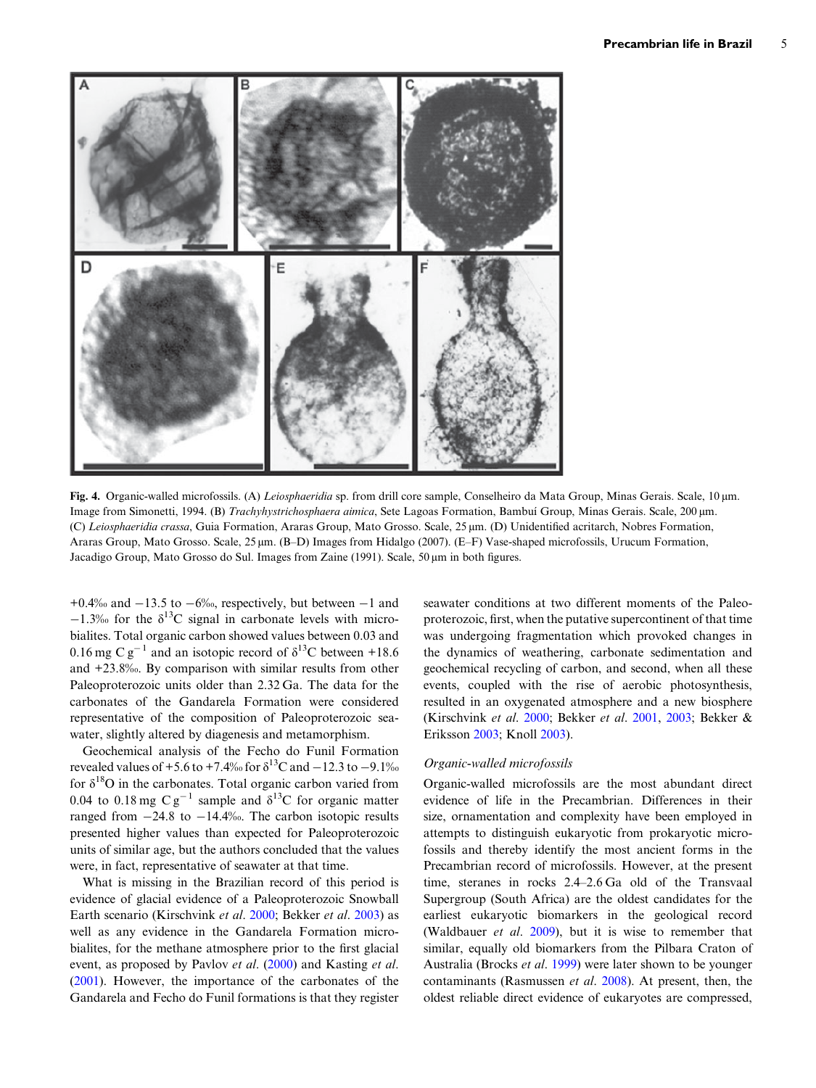<span id="page-4-0"></span>

Fig. 4. Organic-walled microfossils. (A) Leiosphaeridia sp. from drill core sample, Conselheiro da Mata Group, Minas Gerais. Scale, 10 µm. Image from Simonetti, 1994. (B) Trachyhystrichosphaera aimica, Sete Lagoas Formation, Bambuí Group, Minas Gerais. Scale, 200 µm. (C) Leiosphaeridia crassa, Guia Formation, Araras Group, Mato Grosso. Scale, 25 µm. (D) Unidentified acritarch, Nobres Formation, Araras Group, Mato Grosso. Scale, 25 µm. (B–D) Images from Hidalgo (2007). (E–F) Vase-shaped microfossils, Urucum Formation, Jacadigo Group, Mato Grosso do Sul. Images from Zaine (1991). Scale, 50 µm in both figures.

 $+0.4\%$  and  $-13.5$  to  $-6\%$ , respectively, but between  $-1$  and  $-1.3\%$  for the  $\delta^{13}$ C signal in carbonate levels with microbialites. Total organic carbon showed values between 0.03 and 0.16 mg C g<sup>-1</sup> and an isotopic record of  $\delta^{13}$ C between +18.6 and +23.8‰. By comparison with similar results from other Paleoproterozoic units older than 2.32 Ga. The data for the carbonates of the Gandarela Formation were considered representative of the composition of Paleoproterozoic seawater, slightly altered by diagenesis and metamorphism.

Geochemical analysis of the Fecho do Funil Formation revealed values of +5.6 to +7.4‰ for  $\delta^{13}$ C and  $-12.3$  to  $-9.1\%$ for  $\delta^{18}$ O in the carbonates. Total organic carbon varied from 0.04 to 0.18 mg C  $g^{-1}$  sample and  $\delta^{13}$ C for organic matter ranged from  $-24.8$  to  $-14.4%$ . The carbon isotopic results presented higher values than expected for Paleoproterozoic units of similar age, but the authors concluded that the values were, in fact, representative of seawater at that time.

What is missing in the Brazilian record of this period is evidence of glacial evidence of a Paleoproterozoic Snowball Earth scenario (Kirschvink et al. [2000;](#page-12-0) Bekker et al. [2003](#page-10-0)) as well as any evidence in the Gandarela Formation microbialites, for the methane atmosphere prior to the first glacial event, as proposed by Pavlov et al. [\(2000\)](#page-13-0) and Kasting et al. [\(2001\)](#page-12-0). However, the importance of the carbonates of the Gandarela and Fecho do Funil formations is that they register seawater conditions at two different moments of the Paleoproterozoic, first, when the putative supercontinent of that time was undergoing fragmentation which provoked changes in the dynamics of weathering, carbonate sedimentation and geochemical recycling of carbon, and second, when all these events, coupled with the rise of aerobic photosynthesis, resulted in an oxygenated atmosphere and a new biosphere (Kirschvink et al. [2000;](#page-12-0) Bekker et al. [2001](#page-10-0), [2003;](#page-10-0) Bekker & Eriksson [2003](#page-10-0); Knoll [2003\)](#page-12-0).

#### Organic-walled microfossils

Organic-walled microfossils are the most abundant direct evidence of life in the Precambrian. Differences in their size, ornamentation and complexity have been employed in attempts to distinguish eukaryotic from prokaryotic microfossils and thereby identify the most ancient forms in the Precambrian record of microfossils. However, at the present time, steranes in rocks 2.4–2.6 Ga old of the Transvaal Supergroup (South Africa) are the oldest candidates for the earliest eukaryotic biomarkers in the geological record (Waldbauer et al. [2009](#page-14-0)), but it is wise to remember that similar, equally old biomarkers from the Pilbara Craton of Australia (Brocks *et al.* [1999\)](#page-11-0) were later shown to be younger contaminants (Rasmussen et al. [2008\)](#page-13-0). At present, then, the oldest reliable direct evidence of eukaryotes are compressed,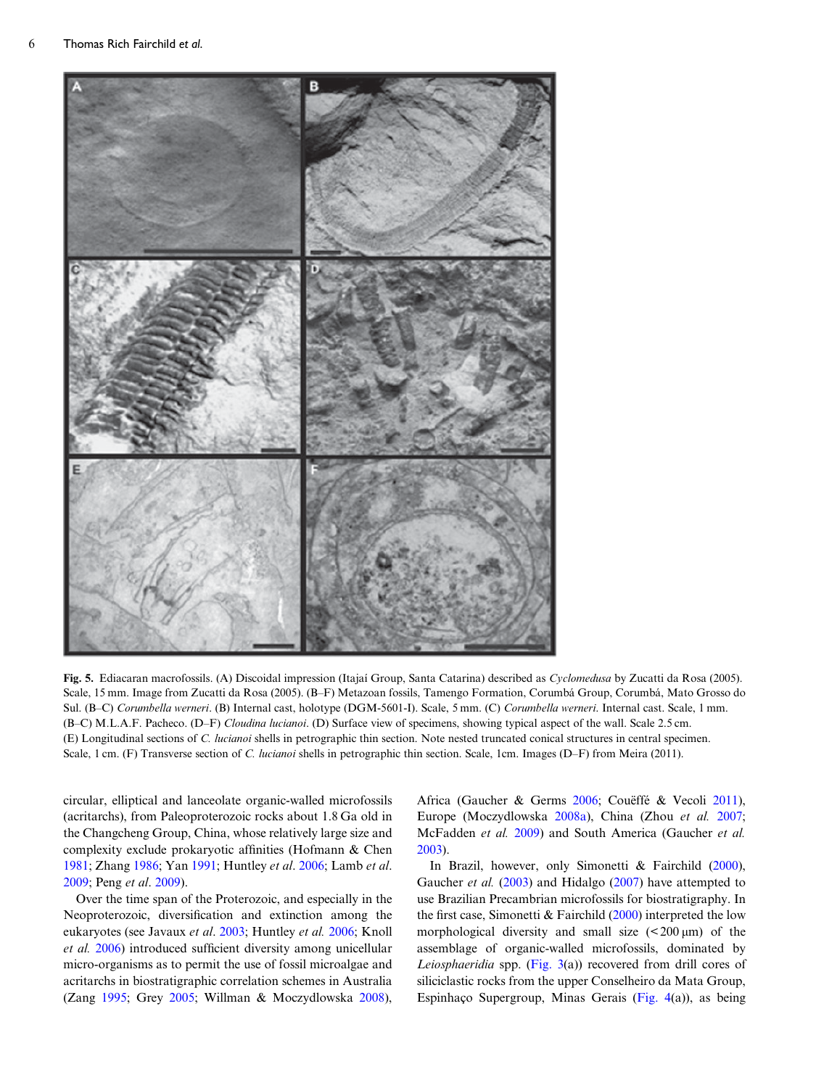<span id="page-5-0"></span>

Fig. 5. Ediacaran macrofossils. (A) Discoidal impression (Itajaí Group, Santa Catarina) described as Cyclomedusa by Zucatti da Rosa (2005). Scale, 15 mm. Image from Zucatti da Rosa (2005). (B–F) Metazoan fossils, Tamengo Formation, Corumbá Group, Corumbá, Mato Grosso do Sul. (B–C) Corumbella werneri. (B) Internal cast, holotype (DGM-5601-I). Scale, 5 mm. (C) Corumbella werneri. Internal cast. Scale, 1 mm. (B–C) M.L.A.F. Pacheco. (D–F) Cloudina lucianoi. (D) Surface view of specimens, showing typical aspect of the wall. Scale 2.5 cm. (E) Longitudinal sections of C. lucianoi shells in petrographic thin section. Note nested truncated conical structures in central specimen. Scale, 1 cm. (F) Transverse section of C. lucianoi shells in petrographic thin section. Scale, 1 cm. Images (D–F) from Meira (2011).

circular, elliptical and lanceolate organic-walled microfossils (acritarchs), from Paleoproterozoic rocks about 1.8 Ga old in the Changcheng Group, China, whose relatively large size and complexity exclude prokaryotic affinities (Hofmann & Chen [1981;](#page-12-0) Zhang [1986;](#page-14-0) Yan [1991](#page-14-0); Huntley et al. [2006;](#page-12-0) Lamb et al. [2009;](#page-12-0) Peng et al. [2009\)](#page-13-0).

Over the time span of the Proterozoic, and especially in the Neoproterozoic, diversification and extinction among the eukaryotes (see Javaux et al. [2003;](#page-12-0) Huntley et al. [2006](#page-12-0); Knoll et al. [2006](#page-12-0)) introduced sufficient diversity among unicellular micro-organisms as to permit the use of fossil microalgae and acritarchs in biostratigraphic correlation schemes in Australia (Zang [1995;](#page-14-0) Grey [2005](#page-12-0); Willman & Moczydlowska [2008\)](#page-14-0), Africa (Gaucher & Germs [2006](#page-11-0); Couëffé & Vecoli [2011\)](#page-11-0), Europe (Moczydlowska [2008a\)](#page-13-0), China (Zhou et al. [2007;](#page-14-0) McFadden et al. [2009\)](#page-12-0) and South America (Gaucher et al. [2003\)](#page-12-0).

In Brazil, however, only Simonetti & Fairchild [\(2000\)](#page-14-0), Gaucher et al. [\(2003\)](#page-12-0) and Hidalgo ([2007](#page-12-0)) have attempted to use Brazilian Precambrian microfossils for biostratigraphy. In the first case, Simonetti & Fairchild  $(2000)$  interpreted the low morphological diversity and small size  $(< 200 \text{ }\mu\text{m})$  of the assemblage of organic-walled microfossils, dominated by Leiosphaeridia spp. (Fig.  $3(a)$ ) recovered from drill cores of siliciclastic rocks from the upper Conselheiro da Mata Group, Espinhaço Supergroup, Minas Gerais ([Fig. 4\(](#page-4-0)a)), as being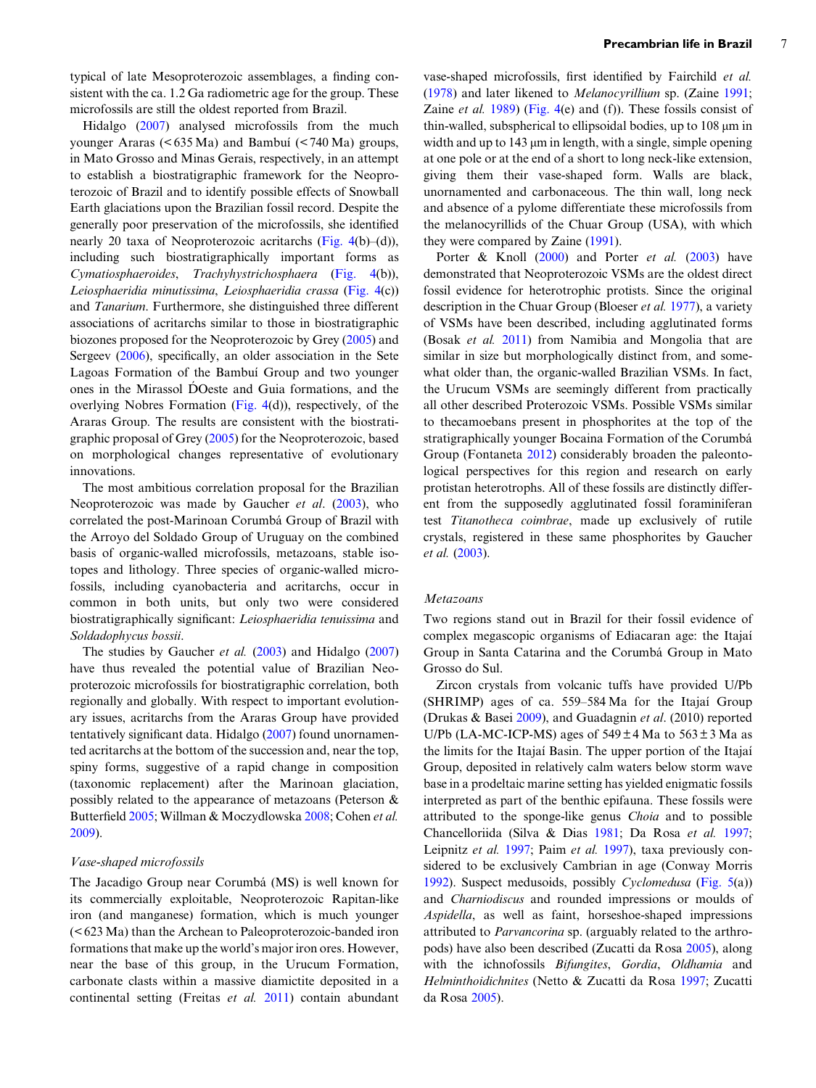typical of late Mesoproterozoic assemblages, a finding consistent with the ca. 1.2 Ga radiometric age for the group. These microfossils are still the oldest reported from Brazil.

Hidalgo [\(2007\)](#page-12-0) analysed microfossils from the much younger Araras (< 635 Ma) and Bambuí (< 740 Ma) groups, in Mato Grosso and Minas Gerais, respectively, in an attempt to establish a biostratigraphic framework for the Neoproterozoic of Brazil and to identify possible effects of Snowball Earth glaciations upon the Brazilian fossil record. Despite the generally poor preservation of the microfossils, she identified nearly 20 taxa of Neoproterozoic acritarchs ([Fig. 4\(](#page-4-0)b)–(d)), including such biostratigraphically important forms as Cymatiosphaeroides, Trachyhystrichosphaera [\(Fig. 4\(](#page-4-0)b)), Leiosphaeridia minutissima, Leiosphaeridia crassa ([Fig. 4](#page-4-0)(c)) and Tanarium. Furthermore, she distinguished three different associations of acritarchs similar to those in biostratigraphic biozones proposed for the Neoproterozoic by Grey ([2005](#page-12-0)) and Sergeev ([2006](#page-14-0)), specifically, an older association in the Sete Lagoas Formation of the Bambuí Group and two younger ones in the Mirassol DOeste and Guia formations, and the overlying Nobres Formation ([Fig. 4\(](#page-4-0)d)), respectively, of the Araras Group. The results are consistent with the biostratigraphic proposal of Grey ([2005](#page-12-0)) for the Neoproterozoic, based on morphological changes representative of evolutionary innovations.

The most ambitious correlation proposal for the Brazilian Neoproterozoic was made by Gaucher *et al.* [\(2003\)](#page-12-0), who correlated the post-Marinoan Corumbá Group of Brazil with the Arroyo del Soldado Group of Uruguay on the combined basis of organic-walled microfossils, metazoans, stable isotopes and lithology. Three species of organic-walled microfossils, including cyanobacteria and acritarchs, occur in common in both units, but only two were considered biostratigraphically significant: Leiosphaeridia tenuissima and Soldadophycus bossii.

The studies by Gaucher *et al.* [\(2003\)](#page-12-0) and Hidalgo ([2007](#page-12-0)) have thus revealed the potential value of Brazilian Neoproterozoic microfossils for biostratigraphic correlation, both regionally and globally. With respect to important evolutionary issues, acritarchs from the Araras Group have provided tentatively significant data. Hidalgo ([2007\)](#page-12-0) found unornamented acritarchs at the bottom of the succession and, near the top, spiny forms, suggestive of a rapid change in composition (taxonomic replacement) after the Marinoan glaciation, possibly related to the appearance of metazoans (Peterson & Butterfield [2005;](#page-13-0) Willman & Moczydlowska [2008;](#page-14-0) Cohen et al. [2009\)](#page-11-0).

# Vase-shaped microfossils

The Jacadigo Group near Corumbá (MS) is well known for its commercially exploitable, Neoproterozoic Rapitan-like iron (and manganese) formation, which is much younger (< 623 Ma) than the Archean to Paleoproterozoic-banded iron formations that make up the world's major iron ores. However, near the base of this group, in the Urucum Formation, carbonate clasts within a massive diamictite deposited in a continental setting (Freitas et al. [2011](#page-11-0)) contain abundant

vase-shaped microfossils, first identified by Fairchild et al. [\(1978](#page-11-0)) and later likened to Melanocyrillium sp. (Zaine [1991;](#page-14-0) Zaine *et al.* [1989](#page-14-0)) ([Fig. 4](#page-4-0)(e) and (f)). These fossils consist of thin-walled, subspherical to ellipsoidal bodies, up to 108 μm in width and up to 143 μm in length, with a single, simple opening at one pole or at the end of a short to long neck-like extension, giving them their vase-shaped form. Walls are black, unornamented and carbonaceous. The thin wall, long neck and absence of a pylome differentiate these microfossils from the melanocyrillids of the Chuar Group (USA), with which they were compared by Zaine [\(1991\)](#page-14-0).

Porter & Knoll [\(2000\)](#page-13-0) and Porter et al. [\(2003\)](#page-13-0) have demonstrated that Neoproterozoic VSMs are the oldest direct fossil evidence for heterotrophic protists. Since the original description in the Chuar Group (Bloeser et al. [1977\)](#page-11-0), a variety of VSMs have been described, including agglutinated forms (Bosak et al. [2011\)](#page-11-0) from Namibia and Mongolia that are similar in size but morphologically distinct from, and somewhat older than, the organic-walled Brazilian VSMs. In fact, the Urucum VSMs are seemingly different from practically all other described Proterozoic VSMs. Possible VSMs similar to thecamoebans present in phosphorites at the top of the stratigraphically younger Bocaina Formation of the Corumbá Group (Fontaneta [2012](#page-11-0)) considerably broaden the paleontological perspectives for this region and research on early protistan heterotrophs. All of these fossils are distinctly different from the supposedly agglutinated fossil foraminiferan test Titanotheca coimbrae, made up exclusively of rutile crystals, registered in these same phosphorites by Gaucher et al. ([2003](#page-12-0)).

#### Metazoans

Two regions stand out in Brazil for their fossil evidence of complex megascopic organisms of Ediacaran age: the Itajaí Group in Santa Catarina and the Corumbá Group in Mato Grosso do Sul.

Zircon crystals from volcanic tuffs have provided U/Pb (SHRIMP) ages of ca. 559–584 Ma for the Itajaí Group (Drukas & Basei [2009](#page-11-0)), and Guadagnin et al. (2010) reported U/Pb (LA-MC-ICP-MS) ages of  $549 \pm 4$  Ma to  $563 \pm 3$  Ma as the limits for the Itajaí Basin. The upper portion of the Itajaí Group, deposited in relatively calm waters below storm wave base in a prodeltaic marine setting has yielded enigmatic fossils interpreted as part of the benthic epifauna. These fossils were attributed to the sponge-like genus Choia and to possible Chancelloriida (Silva & Dias [1981](#page-14-0); Da Rosa et al. [1997;](#page-11-0) Leipnitz et al. [1997;](#page-12-0) Paim et al. [1997\)](#page-13-0), taxa previously considered to be exclusively Cambrian in age (Conway Morris [1992\)](#page-11-0). Suspect medusoids, possibly Cyclomedusa [\(Fig. 5](#page-5-0)(a)) and Charniodiscus and rounded impressions or moulds of Aspidella, as well as faint, horseshoe-shaped impressions attributed to *Parvancorina* sp. (arguably related to the arthropods) have also been described (Zucatti da Rosa [2005](#page-14-0)), along with the ichnofossils *Bifungites*, *Gordia*, *Oldhamia* and Helminthoidichnites (Netto & Zucatti da Rosa [1997;](#page-13-0) Zucatti da Rosa [2005](#page-14-0)).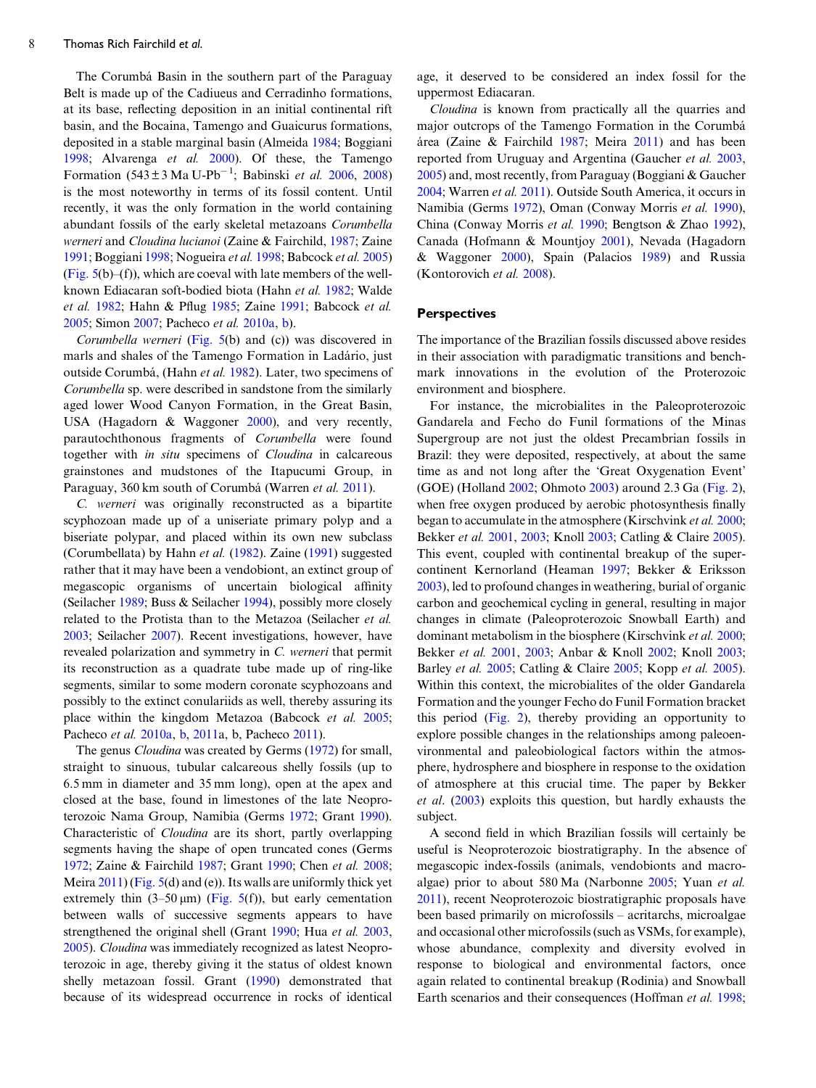The Corumbá Basin in the southern part of the Paraguay Belt is made up of the Cadiueus and Cerradinho formations, at its base, reflecting deposition in an initial continental rift basin, and the Bocaina, Tamengo and Guaicurus formations, deposited in a stable marginal basin (Almeida [1984](#page-10-0); Boggiani [1998;](#page-11-0) Alvarenga et al. [2000](#page-10-0)). Of these, the Tamengo Formation  $(543 \pm 3 \text{ Ma U-Pb}^{-1})$ ; Babinski *et al.* [2006](#page-10-0), [2008](#page-10-0)) is the most noteworthy in terms of its fossil content. Until recently, it was the only formation in the world containing abundant fossils of the early skeletal metazoans Corumbella werneri and Cloudina lucianoi (Zaine & Fairchild, [1987](#page-14-0); Zaine [1991;](#page-14-0) Boggiani [1998](#page-11-0); Nogueira et al. [1998](#page-13-0); Babcock et al. [2005](#page-10-0))  $(Fig. 5(b)–(f))$  $(Fig. 5(b)–(f))$ , which are coeval with late members of the wellknown Ediacaran soft-bodied biota (Hahn et al. [1982;](#page-12-0) Walde et al. [1982](#page-14-0); Hahn & Pflug [1985;](#page-12-0) Zaine [1991;](#page-14-0) Babcock et al. [2005;](#page-10-0) Simon [2007;](#page-14-0) Pacheco et al. [2010a,](#page-13-0) [b\)](#page-13-0).

Corumbella werneri ([Fig. 5](#page-5-0)(b) and (c)) was discovered in marls and shales of the Tamengo Formation in Ladário, just outside Corumbá, (Hahn et al. [1982\)](#page-12-0). Later, two specimens of Corumbella sp. were described in sandstone from the similarly aged lower Wood Canyon Formation, in the Great Basin, USA (Hagadorn & Waggoner [2000\)](#page-12-0), and very recently, parautochthonous fragments of Corumbella were found together with in situ specimens of Cloudina in calcareous grainstones and mudstones of the Itapucumi Group, in Paraguay, 360 km south of Corumbá (Warren et al. [2011\)](#page-14-0).

C. werneri was originally reconstructed as a bipartite scyphozoan made up of a uniseriate primary polyp and a biseriate polypar, and placed within its own new subclass (Corumbellata) by Hahn et al. ([1982](#page-12-0)). Zaine [\(1991](#page-14-0)) suggested rather that it may have been a vendobiont, an extinct group of megascopic organisms of uncertain biological affinity (Seilacher [1989](#page-14-0); Buss & Seilacher [1994\)](#page-11-0), possibly more closely related to the Protista than to the Metazoa (Seilacher et al. [2003;](#page-14-0) Seilacher [2007\)](#page-14-0). Recent investigations, however, have revealed polarization and symmetry in C. werneri that permit its reconstruction as a quadrate tube made up of ring-like segments, similar to some modern coronate scyphozoans and possibly to the extinct conulariids as well, thereby assuring its place within the kingdom Metazoa (Babcock et al. [2005;](#page-10-0) Pacheco et al. [2010a,](#page-13-0) [b,](#page-13-0) [2011](#page-13-0)a, b, Pacheco [2011](#page-13-0)).

The genus *Cloudina* was created by Germs [\(1972\)](#page-12-0) for small, straight to sinuous, tubular calcareous shelly fossils (up to 6.5 mm in diameter and 35 mm long), open at the apex and closed at the base, found in limestones of the late Neoproterozoic Nama Group, Namibia (Germs [1972](#page-12-0); Grant [1990\)](#page-12-0). Characteristic of Cloudina are its short, partly overlapping segments having the shape of open truncated cones (Germs [1972;](#page-12-0) Zaine & Fairchild [1987;](#page-14-0) Grant [1990](#page-12-0); Chen et al. [2008;](#page-11-0) Meira [2011](#page-12-0)) ([Fig. 5\(](#page-5-0)d) and (e)). Its walls are uniformly thick yet extremely thin  $(3-50 \,\mu\text{m})$  ([Fig. 5\(](#page-5-0)f)), but early cementation between walls of successive segments appears to have strengthened the original shell (Grant [1990](#page-12-0); Hua et al. [2003,](#page-12-0) [2005\)](#page-12-0). Cloudina was immediately recognized as latest Neoproterozoic in age, thereby giving it the status of oldest known shelly metazoan fossil. Grant ([1990](#page-12-0)) demonstrated that because of its widespread occurrence in rocks of identical age, it deserved to be considered an index fossil for the uppermost Ediacaran.

Cloudina is known from practically all the quarries and major outcrops of the Tamengo Formation in the Corumbá área (Zaine & Fairchild [1987;](#page-14-0) Meira [2011\)](#page-12-0) and has been reported from Uruguay and Argentina (Gaucher et al. [2003,](#page-12-0) [2005\)](#page-12-0) and, most recently, from Paraguay (Boggiani & Gaucher [2004;](#page-11-0) Warren et al. [2011\)](#page-14-0). Outside South America, it occurs in Namibia (Germs [1972\)](#page-12-0), Oman (Conway Morris et al. [1990\)](#page-11-0), China (Conway Morris et al. [1990](#page-11-0); Bengtson & Zhao [1992\)](#page-11-0), Canada (Hofmann & Mountjoy [2001](#page-12-0)), Nevada (Hagadorn & Waggoner [2000](#page-12-0)), Spain (Palacios [1989](#page-13-0)) and Russia (Kontorovich et al. [2008](#page-12-0)).

# **Perspectives**

The importance of the Brazilian fossils discussed above resides in their association with paradigmatic transitions and benchmark innovations in the evolution of the Proterozoic environment and biosphere.

For instance, the microbialites in the Paleoproterozoic Gandarela and Fecho do Funil formations of the Minas Supergroup are not just the oldest Precambrian fossils in Brazil: they were deposited, respectively, at about the same time as and not long after the 'Great Oxygenation Event' (GOE) (Holland [2002;](#page-12-0) Ohmoto [2003\)](#page-13-0) around 2.3 Ga ([Fig. 2\)](#page-2-0), when free oxygen produced by aerobic photosynthesis finally began to accumulate in the atmosphere (Kirschvink et al. [2000;](#page-12-0) Bekker et al. [2001,](#page-10-0) [2003;](#page-10-0) Knoll [2003;](#page-12-0) Catling & Claire [2005\)](#page-11-0). This event, coupled with continental breakup of the supercontinent Kernorland (Heaman [1997](#page-12-0); Bekker & Eriksson [2003\)](#page-10-0), led to profound changes in weathering, burial of organic carbon and geochemical cycling in general, resulting in major changes in climate (Paleoproterozoic Snowball Earth) and dominant metabolism in the biosphere (Kirschvink et al. [2000;](#page-12-0) Bekker et al. [2001](#page-10-0), [2003;](#page-10-0) Anbar & Knoll [2002](#page-10-0); Knoll [2003;](#page-12-0) Barley et al. [2005;](#page-10-0) Catling & Claire [2005](#page-11-0); Kopp et al. [2005\)](#page-12-0). Within this context, the microbialites of the older Gandarela Formation and the younger Fecho do Funil Formation bracket this period ([Fig. 2](#page-2-0)), thereby providing an opportunity to explore possible changes in the relationships among paleoenvironmental and paleobiological factors within the atmosphere, hydrosphere and biosphere in response to the oxidation of atmosphere at this crucial time. The paper by Bekker et al. [\(2003](#page-10-0)) exploits this question, but hardly exhausts the subject.

A second field in which Brazilian fossils will certainly be useful is Neoproterozoic biostratigraphy. In the absence of megascopic index-fossils (animals, vendobionts and macroalgae) prior to about 580 Ma (Narbonne [2005;](#page-13-0) Yuan et al. [2011\)](#page-14-0), recent Neoproterozoic biostratigraphic proposals have been based primarily on microfossils – acritarchs, microalgae and occasional other microfossils (such as VSMs, for example), whose abundance, complexity and diversity evolved in response to biological and environmental factors, once again related to continental breakup (Rodinia) and Snowball Earth scenarios and their consequences (Hoffman et al. [1998;](#page-12-0)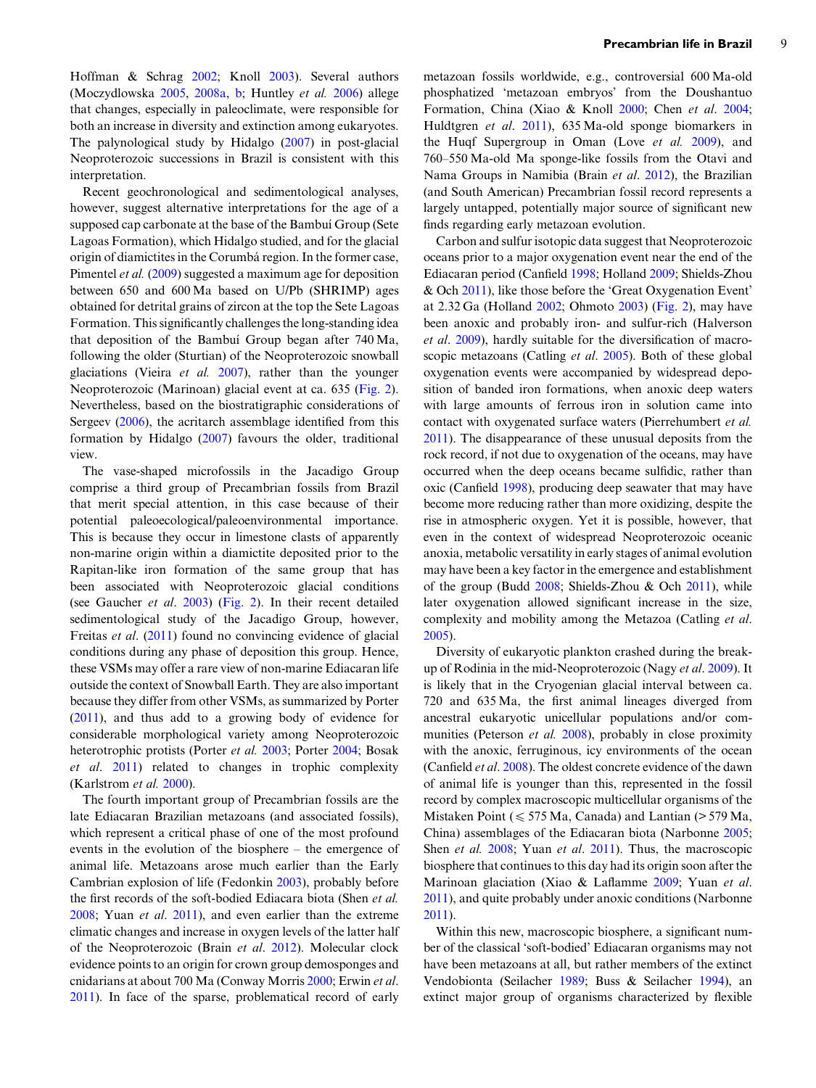Hoffman & Schrag [2002](#page-12-0); Knoll [2003\)](#page-12-0). Several authors (Moczydlowska [2005](#page-13-0), [2008a](#page-13-0), [b;](#page-13-0) Huntley et al. [2006\)](#page-12-0) allege that changes, especially in paleoclimate, were responsible for both an increase in diversity and extinction among eukaryotes. The palynological study by Hidalgo ([2007](#page-12-0)) in post-glacial Neoproterozoic successions in Brazil is consistent with this interpretation.

Recent geochronological and sedimentological analyses, however, suggest alternative interpretations for the age of a supposed cap carbonate at the base of the Bambuí Group (Sete Lagoas Formation), which Hidalgo studied, and for the glacial origin of diamictites in the Corumbá region. In the former case, Pimentel et al. ([2009](#page-13-0)) suggested a maximum age for deposition between 650 and 600 Ma based on U/Pb (SHRIMP) ages obtained for detrital grains of zircon at the top the Sete Lagoas Formation. This significantly challenges the long-standing idea that deposition of the Bambuí Group began after 740 Ma, following the older (Sturtian) of the Neoproterozoic snowball glaciations (Vieira *et al.* [2007\)](#page-14-0), rather than the younger Neoproterozoic (Marinoan) glacial event at ca. 635 ([Fig. 2\)](#page-2-0). Nevertheless, based on the biostratigraphic considerations of Sergeev [\(2006\)](#page-14-0), the acritarch assemblage identified from this formation by Hidalgo ([2007](#page-12-0)) favours the older, traditional view.

The vase-shaped microfossils in the Jacadigo Group comprise a third group of Precambrian fossils from Brazil that merit special attention, in this case because of their potential paleoecological/paleoenvironmental importance. This is because they occur in limestone clasts of apparently non-marine origin within a diamictite deposited prior to the Rapitan-like iron formation of the same group that has been associated with Neoproterozoic glacial conditions (see Gaucher et al. [2003](#page-12-0)) [\(Fig. 2](#page-2-0)). In their recent detailed sedimentological study of the Jacadigo Group, however, Freitas et al. ([2011](#page-11-0)) found no convincing evidence of glacial conditions during any phase of deposition this group. Hence, these VSMs may offer a rare view of non-marine Ediacaran life outside the context of Snowball Earth. They are also important because they differ from other VSMs, as summarized by Porter ([2011\)](#page-13-0), and thus add to a growing body of evidence for considerable morphological variety among Neoproterozoic heterotrophic protists (Porter *et al.* [2003;](#page-13-0) Porter [2004](#page-13-0); Bosak et al. [2011\)](#page-11-0) related to changes in trophic complexity (Karlstrom et al. [2000](#page-12-0)).

The fourth important group of Precambrian fossils are the late Ediacaran Brazilian metazoans (and associated fossils), which represent a critical phase of one of the most profound events in the evolution of the biosphere – the emergence of animal life. Metazoans arose much earlier than the Early Cambrian explosion of life (Fedonkin [2003](#page-11-0)), probably before the first records of the soft-bodied Ediacara biota (Shen et al. [2008;](#page-14-0) Yuan et al. [2011\)](#page-14-0), and even earlier than the extreme climatic changes and increase in oxygen levels of the latter half of the Neoproterozoic (Brain et al. [2012\)](#page-11-0). Molecular clock evidence points to an origin for crown group demosponges and cnidarians at about 700 Ma (Conway Morris [2000;](#page-11-0) Erwin et al. [2011\)](#page-11-0). In face of the sparse, problematical record of early

metazoan fossils worldwide, e.g., controversial 600 Ma-old phosphatized 'metazoan embryos' from the Doushantuo Formation, China (Xiao & Knoll [2000](#page-14-0); Chen et al. [2004;](#page-11-0) Huldtgren et al. [2011\)](#page-12-0), 635 Ma-old sponge biomarkers in the Huqf Supergroup in Oman (Love et al. [2009](#page-12-0)), and 760–550 Ma-old Ma sponge-like fossils from the Otavi and Nama Groups in Namibia (Brain et al. [2012](#page-11-0)), the Brazilian (and South American) Precambrian fossil record represents a largely untapped, potentially major source of significant new finds regarding early metazoan evolution.

Carbon and sulfur isotopic data suggest that Neoproterozoic oceans prior to a major oxygenation event near the end of the Ediacaran period (Canfield [1998;](#page-11-0) Holland [2009;](#page-12-0) Shields-Zhou & Och [2011\)](#page-14-0), like those before the 'Great Oxygenation Event' at 2.32 Ga (Holland [2002;](#page-12-0) Ohmoto [2003\)](#page-13-0) ([Fig. 2](#page-2-0)), may have been anoxic and probably iron- and sulfur-rich (Halverson et al. [2009\)](#page-12-0), hardly suitable for the diversification of macro-scopic metazoans (Catling et al. [2005\)](#page-11-0). Both of these global oxygenation events were accompanied by widespread deposition of banded iron formations, when anoxic deep waters with large amounts of ferrous iron in solution came into contact with oxygenated surface waters (Pierrehumbert et al. [2011\)](#page-13-0). The disappearance of these unusual deposits from the rock record, if not due to oxygenation of the oceans, may have occurred when the deep oceans became sulfidic, rather than oxic (Canfield [1998](#page-11-0)), producing deep seawater that may have become more reducing rather than more oxidizing, despite the rise in atmospheric oxygen. Yet it is possible, however, that even in the context of widespread Neoproterozoic oceanic anoxia, metabolic versatility in early stages of animal evolution may have been a key factor in the emergence and establishment of the group (Budd  $2008$ ; Shields-Zhou & Och  $2011$ ), while later oxygenation allowed significant increase in the size, complexity and mobility among the Metazoa (Catling et al. [2005\)](#page-11-0).

Diversity of eukaryotic plankton crashed during the break-up of Rodinia in the mid-Neoproterozoic (Nagy et al. [2009](#page-13-0)). It is likely that in the Cryogenian glacial interval between ca. 720 and 635 Ma, the first animal lineages diverged from ancestral eukaryotic unicellular populations and/or com-munities (Peterson et al. [2008\)](#page-13-0), probably in close proximity with the anoxic, ferruginous, icy environments of the ocean (Canfield *et al.* [2008\)](#page-11-0). The oldest concrete evidence of the dawn of animal life is younger than this, represented in the fossil record by complex macroscopic multicellular organisms of the Mistaken Point ( $\leq 575$  Ma, Canada) and Lantian (> 579 Ma, China) assemblages of the Ediacaran biota (Narbonne [2005;](#page-13-0) Shen et al. [2008;](#page-14-0) Yuan et al. [2011](#page-14-0)). Thus, the macroscopic biosphere that continues to this day had its origin soon after the Marinoan glaciation (Xiao & Laflamme [2009](#page-14-0); Yuan et al. [2011\)](#page-14-0), and quite probably under anoxic conditions (Narbonne [2011\)](#page-13-0).

Within this new, macroscopic biosphere, a significant number of the classical 'soft-bodied' Ediacaran organisms may not have been metazoans at all, but rather members of the extinct Vendobionta (Seilacher [1989;](#page-14-0) Buss & Seilacher [1994\)](#page-11-0), an extinct major group of organisms characterized by flexible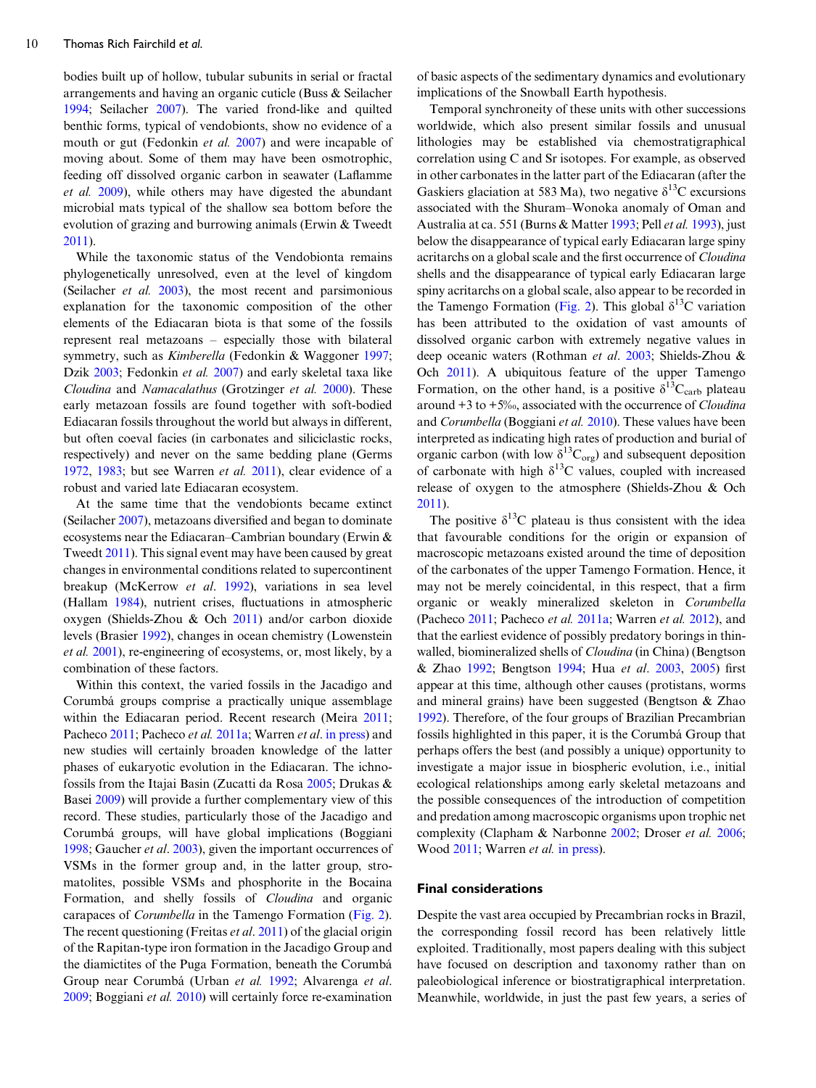bodies built up of hollow, tubular subunits in serial or fractal arrangements and having an organic cuticle (Buss & Seilacher [1994;](#page-11-0) Seilacher [2007](#page-14-0)). The varied frond-like and quilted benthic forms, typical of vendobionts, show no evidence of a mouth or gut (Fedonkin et al. [2007\)](#page-11-0) and were incapable of moving about. Some of them may have been osmotrophic, feeding off dissolved organic carbon in seawater (Laflamme et al. [2009](#page-12-0)), while others may have digested the abundant microbial mats typical of the shallow sea bottom before the evolution of grazing and burrowing animals (Erwin & Tweedt [2011\)](#page-11-0).

While the taxonomic status of the Vendobionta remains phylogenetically unresolved, even at the level of kingdom (Seilacher et al. [2003](#page-14-0)), the most recent and parsimonious explanation for the taxonomic composition of the other elements of the Ediacaran biota is that some of the fossils represent real metazoans – especially those with bilateral symmetry, such as Kimberella (Fedonkin & Waggoner [1997;](#page-11-0) Dzik [2003;](#page-11-0) Fedonkin *et al.* [2007](#page-11-0)) and early skeletal taxa like Cloudina and Namacalathus (Grotzinger et al. [2000](#page-12-0)). These early metazoan fossils are found together with soft-bodied Ediacaran fossils throughout the world but always in different, but often coeval facies (in carbonates and siliciclastic rocks, respectively) and never on the same bedding plane (Germs [1972,](#page-12-0) [1983](#page-12-0); but see Warren et al. [2011](#page-14-0)), clear evidence of a robust and varied late Ediacaran ecosystem.

At the same time that the vendobionts became extinct (Seilacher [2007\)](#page-14-0), metazoans diversified and began to dominate ecosystems near the Ediacaran–Cambrian boundary (Erwin & Tweedt [2011](#page-11-0)). This signal event may have been caused by great changes in environmental conditions related to supercontinent breakup (McKerrow et al. [1992](#page-12-0)), variations in sea level (Hallam [1984\)](#page-12-0), nutrient crises, fluctuations in atmospheric oxygen (Shields-Zhou & Och [2011\)](#page-14-0) and/or carbon dioxide levels (Brasier [1992\)](#page-11-0), changes in ocean chemistry (Lowenstein et al. [2001](#page-12-0)), re-engineering of ecosystems, or, most likely, by a combination of these factors.

Within this context, the varied fossils in the Jacadigo and Corumbá groups comprise a practically unique assemblage within the Ediacaran period. Recent research (Meira [2011;](#page-12-0) Pacheco [2011;](#page-13-0) Pacheco *et al.* [2011a](#page-13-0); Warren *et al.* [in press\)](#page-14-0) and new studies will certainly broaden knowledge of the latter phases of eukaryotic evolution in the Ediacaran. The ichnofossils from the Itajai Basin (Zucatti da Rosa [2005](#page-14-0); Drukas & Basei [2009](#page-11-0)) will provide a further complementary view of this record. These studies, particularly those of the Jacadigo and Corumbá groups, will have global implications (Boggiani [1998;](#page-11-0) Gaucher et al. [2003\)](#page-12-0), given the important occurrences of VSMs in the former group and, in the latter group, stromatolites, possible VSMs and phosphorite in the Bocaina Formation, and shelly fossils of Cloudina and organic carapaces of Corumbella in the Tamengo Formation ([Fig. 2\)](#page-2-0). The recent questioning (Freitas *et al.* [2011\)](#page-11-0) of the glacial origin of the Rapitan-type iron formation in the Jacadigo Group and the diamictites of the Puga Formation, beneath the Corumbá Group near Corumbá (Urban et al. [1992;](#page-14-0) Alvarenga et al. [2009;](#page-10-0) Boggiani et al. [2010](#page-11-0)) will certainly force re-examination

of basic aspects of the sedimentary dynamics and evolutionary implications of the Snowball Earth hypothesis.

Temporal synchroneity of these units with other successions worldwide, which also present similar fossils and unusual lithologies may be established via chemostratigraphical correlation using C and Sr isotopes. For example, as observed in other carbonates in the latter part of the Ediacaran (after the Gaskiers glaciation at 583 Ma), two negative  $\delta^{13}C$  excursions associated with the Shuram–Wonoka anomaly of Oman and Australia at ca. 551 (Burns & Matter [1993](#page-11-0); Pell et al. [1993](#page-13-0)), just below the disappearance of typical early Ediacaran large spiny acritarchs on a global scale and the first occurrence of Cloudina shells and the disappearance of typical early Ediacaran large spiny acritarchs on a global scale, also appear to be recorded in the Tamengo Formation ([Fig. 2](#page-2-0)). This global  $\delta^{13}$ C variation has been attributed to the oxidation of vast amounts of dissolved organic carbon with extremely negative values in deep oceanic waters (Rothman et al. [2003](#page-13-0); Shields-Zhou & Och [2011\)](#page-14-0). A ubiquitous feature of the upper Tamengo Formation, on the other hand, is a positive  $\delta^{13}C_{\rm carb}$  plateau around  $+3$  to  $+5%$ , associated with the occurrence of *Cloudina* and Corumbella (Boggiani et al. [2010](#page-11-0)). These values have been interpreted as indicating high rates of production and burial of organic carbon (with low  $\delta^{13}C_{\text{org}}$ ) and subsequent deposition of carbonate with high  $\delta^{13}$ C values, coupled with increased release of oxygen to the atmosphere (Shields-Zhou & Och [2011\)](#page-14-0).

The positive  $\delta^{13}$ C plateau is thus consistent with the idea that favourable conditions for the origin or expansion of macroscopic metazoans existed around the time of deposition of the carbonates of the upper Tamengo Formation. Hence, it may not be merely coincidental, in this respect, that a firm organic or weakly mineralized skeleton in Corumbella (Pacheco [2011](#page-13-0); Pacheco et al. [2011a;](#page-13-0) Warren et al. [2012\)](#page-14-0), and that the earliest evidence of possibly predatory borings in thinwalled, biomineralized shells of *Cloudina* (in China) (Bengtson & Zhao [1992](#page-11-0); Bengtson [1994;](#page-11-0) Hua et al. [2003,](#page-12-0) [2005](#page-12-0)) first appear at this time, although other causes (protistans, worms and mineral grains) have been suggested (Bengtson & Zhao [1992\)](#page-11-0). Therefore, of the four groups of Brazilian Precambrian fossils highlighted in this paper, it is the Corumbá Group that perhaps offers the best (and possibly a unique) opportunity to investigate a major issue in biospheric evolution, i.e., initial ecological relationships among early skeletal metazoans and the possible consequences of the introduction of competition and predation among macroscopic organisms upon trophic net complexity (Clapham & Narbonne [2002](#page-11-0); Droser et al. [2006;](#page-11-0) Wood [2011](#page-14-0); Warren et al. [in press\)](#page-14-0).

# Final considerations

Despite the vast area occupied by Precambrian rocks in Brazil, the corresponding fossil record has been relatively little exploited. Traditionally, most papers dealing with this subject have focused on description and taxonomy rather than on paleobiological inference or biostratigraphical interpretation. Meanwhile, worldwide, in just the past few years, a series of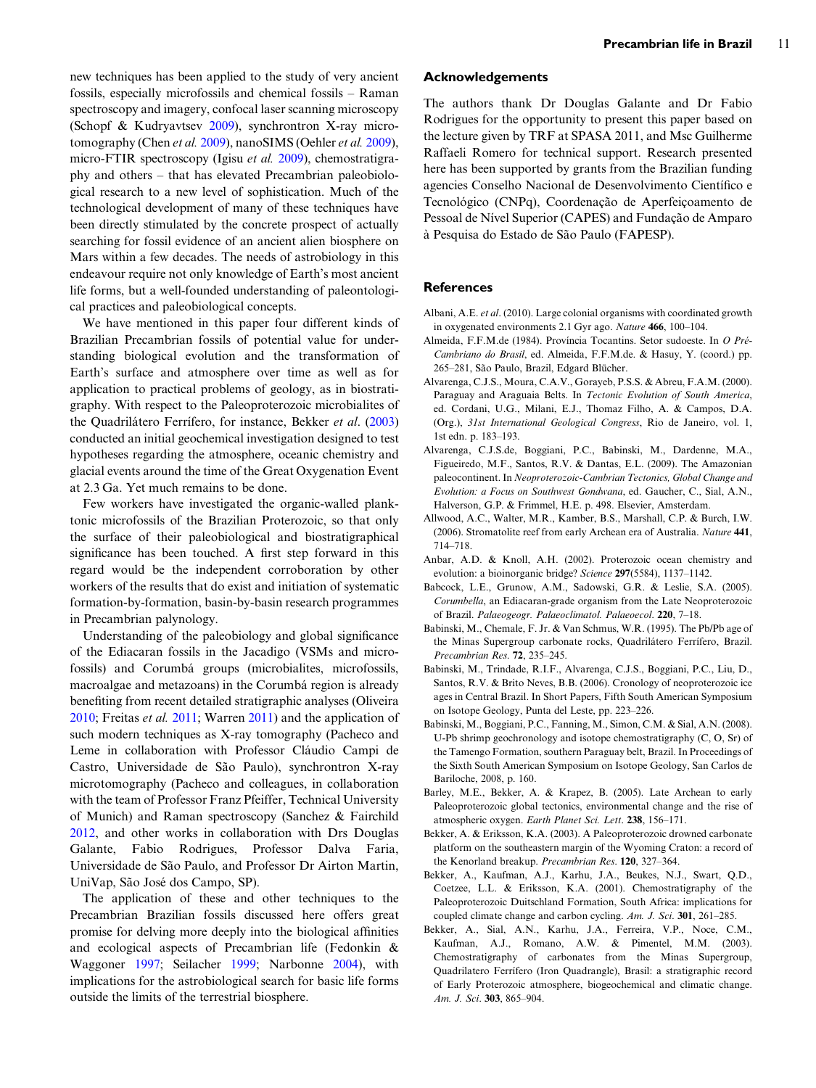<span id="page-10-0"></span>new techniques has been applied to the study of very ancient fossils, especially microfossils and chemical fossils – Raman spectroscopy and imagery, confocal laser scanning microscopy (Schopf & Kudryavtsev [2009](#page-14-0)), synchrontron X-ray micro-tomography (Chen et al. [2009\)](#page-13-0), nanoSIMS (Oehler et al. 2009), micro-FTIR spectroscopy (Igisu *et al.* [2009\)](#page-12-0), chemostratigraphy and others – that has elevated Precambrian paleobiological research to a new level of sophistication. Much of the technological development of many of these techniques have been directly stimulated by the concrete prospect of actually searching for fossil evidence of an ancient alien biosphere on Mars within a few decades. The needs of astrobiology in this endeavour require not only knowledge of Earth's most ancient life forms, but a well-founded understanding of paleontological practices and paleobiological concepts.

We have mentioned in this paper four different kinds of Brazilian Precambrian fossils of potential value for understanding biological evolution and the transformation of Earth's surface and atmosphere over time as well as for application to practical problems of geology, as in biostratigraphy. With respect to the Paleoproterozoic microbialites of the Quadrilátero Ferrífero, for instance, Bekker et al. (2003) conducted an initial geochemical investigation designed to test hypotheses regarding the atmosphere, oceanic chemistry and glacial events around the time of the Great Oxygenation Event at 2.3 Ga. Yet much remains to be done.

Few workers have investigated the organic-walled planktonic microfossils of the Brazilian Proterozoic, so that only the surface of their paleobiological and biostratigraphical significance has been touched. A first step forward in this regard would be the independent corroboration by other workers of the results that do exist and initiation of systematic formation-by-formation, basin-by-basin research programmes in Precambrian palynology.

Understanding of the paleobiology and global significance of the Ediacaran fossils in the Jacadigo (VSMs and microfossils) and Corumbá groups (microbialites, microfossils, macroalgae and metazoans) in the Corumbá region is already benefiting from recent detailed stratigraphic analyses (Oliveira [2010;](#page-13-0) Freitas et al. [2011](#page-11-0); Warren [2011\)](#page-14-0) and the application of such modern techniques as X-ray tomography (Pacheco and Leme in collaboration with Professor Cláudio Campi de Castro, Universidade de São Paulo), synchrontron X-ray microtomography (Pacheco and colleagues, in collaboration with the team of Professor Franz Pfeiffer, Technical University of Munich) and Raman spectroscopy (Sanchez & Fairchild [2012,](#page-13-0) and other works in collaboration with Drs Douglas Galante, Fabio Rodrigues, Professor Dalva Faria, Universidade de São Paulo, and Professor Dr Airton Martin, UniVap, São José dos Campo, SP).

The application of these and other techniques to the Precambrian Brazilian fossils discussed here offers great promise for delving more deeply into the biological affinities and ecological aspects of Precambrian life (Fedonkin & Waggoner [1997;](#page-11-0) Seilacher [1999;](#page-14-0) Narbonne [2004](#page-13-0)), with implications for the astrobiological search for basic life forms outside the limits of the terrestrial biosphere.

#### **Acknowledgements**

The authors thank Dr Douglas Galante and Dr Fabio Rodrigues for the opportunity to present this paper based on the lecture given by TRF at SPASA 2011, and Msc Guilherme Raffaeli Romero for technical support. Research presented here has been supported by grants from the Brazilian funding agencies Conselho Nacional de Desenvolvimento Científico e Tecnológico (CNPq), Coordenação de Aperfeiçoamento de Pessoal de Nível Superior (CAPES) and Fundação de Amparo à Pesquisa do Estado de São Paulo (FAPESP).

#### **References**

- Albani, A.E. et al. (2010). Large colonial organisms with coordinated growth in oxygenated environments 2.1 Gyr ago. Nature 466, 100–104.
- Almeida, F.F.M.de (1984). Província Tocantins. Setor sudoeste. In O Pré-Cambriano do Brasil, ed. Almeida, F.F.M.de. & Hasuy, Y. (coord.) pp. 265–281, São Paulo, Brazil, Edgard Blücher.
- Alvarenga, C.J.S., Moura, C.A.V., Gorayeb, P.S.S. & Abreu, F.A.M. (2000). Paraguay and Araguaia Belts. In Tectonic Evolution of South America, ed. Cordani, U.G., Milani, E.J., Thomaz Filho, A. & Campos, D.A. (Org.), 31st International Geological Congress, Rio de Janeiro, vol. 1, 1st edn. p. 183–193.
- Alvarenga, C.J.S.de, Boggiani, P.C., Babinski, M., Dardenne, M.A., Figueiredo, M.F., Santos, R.V. & Dantas, E.L. (2009). The Amazonian paleocontinent. In Neoproterozoic-Cambrian Tectonics, Global Change and Evolution: a Focus on Southwest Gondwana, ed. Gaucher, C., Sial, A.N., Halverson, G.P. & Frimmel, H.E. p. 498. Elsevier, Amsterdam.
- Allwood, A.C., Walter, M.R., Kamber, B.S., Marshall, C.P. & Burch, I.W. (2006). Stromatolite reef from early Archean era of Australia. Nature 441, 714–718.
- Anbar, A.D. & Knoll, A.H. (2002). Proterozoic ocean chemistry and evolution: a bioinorganic bridge? Science 297(5584), 1137–1142.
- Babcock, L.E., Grunow, A.M., Sadowski, G.R. & Leslie, S.A. (2005). Corumbella, an Ediacaran-grade organism from the Late Neoproterozoic of Brazil. Palaeogeogr. Palaeoclimatol. Palaeoecol. 220, 7–18.
- Babinski, M., Chemale, F. Jr. & Van Schmus, W.R. (1995). The Pb/Pb age of the Minas Supergroup carbonate rocks, Quadrilátero Ferrífero, Brazil. Precambrian Res. 72, 235–245.
- Babinski, M., Trindade, R.I.F., Alvarenga, C.J.S., Boggiani, P.C., Liu, D., Santos, R.V. & Brito Neves, B.B. (2006). Cronology of neoproterozoic ice ages in Central Brazil. In Short Papers, Fifth South American Symposium on Isotope Geology, Punta del Leste, pp. 223–226.
- Babinski, M., Boggiani, P.C., Fanning, M., Simon, C.M. & Sial, A.N. (2008). U-Pb shrimp geochronology and isotope chemostratigraphy (C, O, Sr) of the Tamengo Formation, southern Paraguay belt, Brazil. In Proceedings of the Sixth South American Symposium on Isotope Geology, San Carlos de Bariloche, 2008, p. 160.
- Barley, M.E., Bekker, A. & Krapez, B. (2005). Late Archean to early Paleoproterozoic global tectonics, environmental change and the rise of atmospheric oxygen. Earth Planet Sci. Lett. 238, 156–171.
- Bekker, A. & Eriksson, K.A. (2003). A Paleoproterozoic drowned carbonate platform on the southeastern margin of the Wyoming Craton: a record of the Kenorland breakup. Precambrian Res. 120, 327–364.
- Bekker, A., Kaufman, A.J., Karhu, J.A., Beukes, N.J., Swart, Q.D., Coetzee, L.L. & Eriksson, K.A. (2001). Chemostratigraphy of the Paleoproterozoic Duitschland Formation, South Africa: implications for coupled climate change and carbon cycling. Am. J. Sci. 301, 261–285.
- Bekker, A., Sial, A.N., Karhu, J.A., Ferreira, V.P., Noce, C.M., Kaufman, A.J., Romano, A.W. & Pimentel, M.M. (2003). Chemostratigraphy of carbonates from the Minas Supergroup, Quadrilatero Ferrífero (Iron Quadrangle), Brasil: a stratigraphic record of Early Proterozoic atmosphere, biogeochemical and climatic change. Am. J. Sci. 303, 865–904.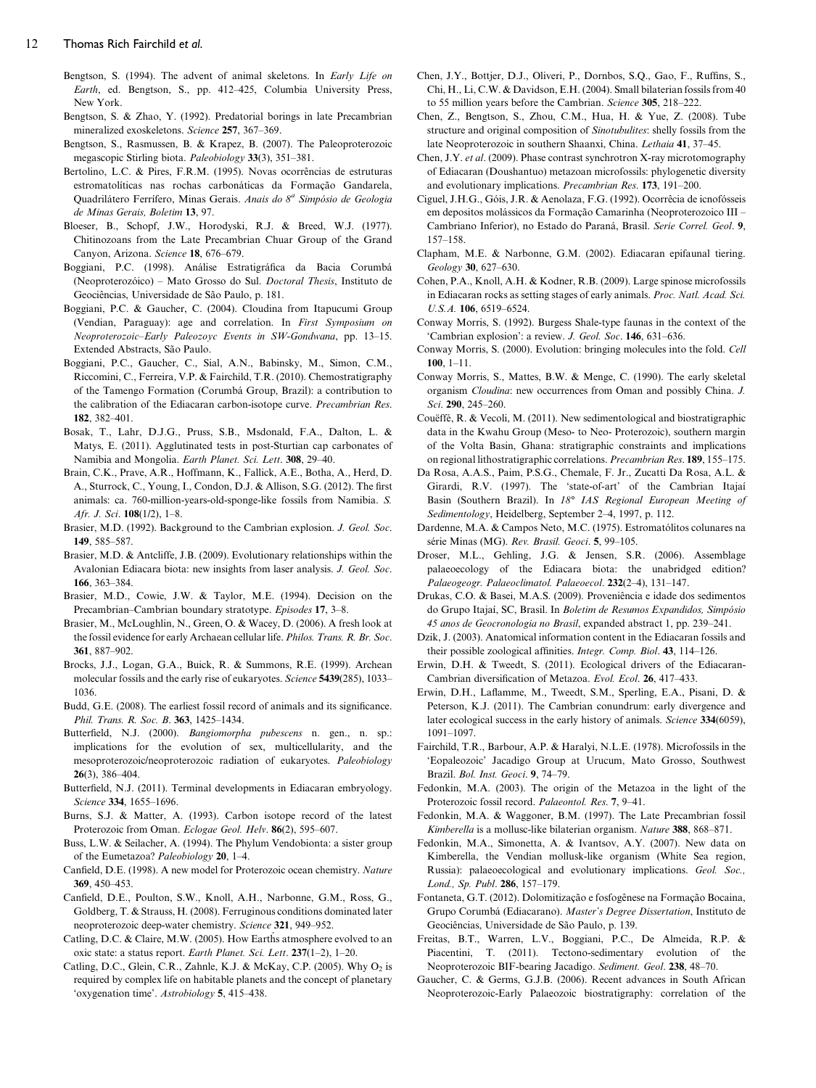- <span id="page-11-0"></span>Bengtson, S. (1994). The advent of animal skeletons. In Early Life on Earth, ed. Bengtson, S., pp. 412–425, Columbia University Press, New York.
- Bengtson, S. & Zhao, Y. (1992). Predatorial borings in late Precambrian mineralized exoskeletons. Science 257, 367–369.
- Bengtson, S., Rasmussen, B. & Krapez, B. (2007). The Paleoproterozoic megascopic Stirling biota. Paleobiology 33(3), 351–381.
- Bertolino, L.C. & Pires, F.R.M. (1995). Novas ocorrências de estruturas estromatolíticas nas rochas carbonáticas da Formação Gandarela, Quadrilátero Ferrífero, Minas Gerais. Anais do 8ª Simpósio de Geologia de Minas Gerais, Boletim 13, 97.
- Bloeser, B., Schopf, J.W., Horodyski, R.J. & Breed, W.J. (1977). Chitinozoans from the Late Precambrian Chuar Group of the Grand Canyon, Arizona. Science 18, 676–679.
- Boggiani, P.C. (1998). Análise Estratigráfica da Bacia Corumbá (Neoproterozóico) – Mato Grosso do Sul. Doctoral Thesis, Instituto de Geociências, Universidade de São Paulo, p. 181.
- Boggiani, P.C. & Gaucher, C. (2004). Cloudina from Itapucumi Group (Vendian, Paraguay): age and correlation. In First Symposium on Neoproterozoic–Early Paleozoyc Events in SW-Gondwana, pp. 13–15. Extended Abstracts, São Paulo.
- Boggiani, P.C., Gaucher, C., Sial, A.N., Babinsky, M., Simon, C.M., Riccomini, C., Ferreira, V.P. & Fairchild, T.R. (2010). Chemostratigraphy of the Tamengo Formation (Corumbá Group, Brazil): a contribution to the calibration of the Ediacaran carbon-isotope curve. Precambrian Res. 182, 382–401.
- Bosak, T., Lahr, D.J.G., Pruss, S.B., Msdonald, F.A., Dalton, L. & Matys, E. (2011). Agglutinated tests in post-Sturtian cap carbonates of Namibia and Mongolia. Earth Planet. Sci. Lett. 308, 29–40.
- Brain, C.K., Prave, A.R., Hoffmann, K., Fallick, A.E., Botha, A., Herd, D. A., Sturrock, C., Young, I., Condon, D.J. & Allison, S.G. (2012). The first animals: ca. 760-million-years-old-sponge-like fossils from Namibia. S. Afr. J. Sci. 108(1/2), 1–8.
- Brasier, M.D. (1992). Background to the Cambrian explosion. J. Geol. Soc. 149, 585–587.
- Brasier, M.D. & Antcliffe, J.B. (2009). Evolutionary relationships within the Avalonian Ediacara biota: new insights from laser analysis. J. Geol. Soc. 166, 363–384.
- Brasier, M.D., Cowie, J.W. & Taylor, M.E. (1994). Decision on the Precambrian–Cambrian boundary stratotype. Episodes 17, 3–8.
- Brasier, M., McLoughlin, N., Green, O. & Wacey, D. (2006). A fresh look at the fossil evidence for early Archaean cellular life. Philos. Trans. R. Br. Soc. 361, 887–902.
- Brocks, J.J., Logan, G.A., Buick, R. & Summons, R.E. (1999). Archean molecular fossils and the early rise of eukaryotes. Science 5439(285), 1033– 1036.
- Budd, G.E. (2008). The earliest fossil record of animals and its significance. Phil. Trans. R. Soc. B. 363, 1425–1434.
- Butterfield, N.J. (2000). Bangiomorpha pubescens n. gen., n. sp.: implications for the evolution of sex, multicellularity, and the mesoproterozoic/neoproterozoic radiation of eukaryotes. Paleobiology 26(3), 386–404.
- Butterfield, N.J. (2011). Terminal developments in Ediacaran embryology. Science 334, 1655–1696.
- Burns, S.J. & Matter, A. (1993). Carbon isotope record of the latest Proterozoic from Oman. Eclogae Geol. Helv. 86(2), 595–607.
- Buss, L.W. & Seilacher, A. (1994). The Phylum Vendobionta: a sister group of the Eumetazoa? Paleobiology 20, 1–4.
- Canfield, D.E. (1998). A new model for Proterozoic ocean chemistry. Nature 369, 450–453.
- Canfield, D.E., Poulton, S.W., Knoll, A.H., Narbonne, G.M., Ross, G., Goldberg, T. & Strauss, H. (2008). Ferruginous conditions dominated later neoproterozoic deep-water chemistry. Science 321, 949–952.
- Catling, D.C. & Claire, M.W. (2005). How Earths atmosphere evolved to an oxic state: a status report. Earth Planet. Sci. Lett. 237(1–2), 1–20.
- Catling, D.C., Glein, C.R., Zahnle, K.J. & McKay, C.P. (2005). Why  $O_2$  is required by complex life on habitable planets and the concept of planetary 'oxygenation time'. Astrobiology 5, 415–438.
- Chen, J.Y., Bottjer, D.J., Oliveri, P., Dornbos, S.Q., Gao, F., Ruffins, S., Chi, H., Li, C.W. & Davidson, E.H. (2004). Small bilaterian fossils from 40 to 55 million years before the Cambrian. Science 305, 218–222.
- Chen, Z., Bengtson, S., Zhou, C.M., Hua, H. & Yue, Z. (2008). Tube structure and original composition of Sinotubulites: shelly fossils from the late Neoproterozoic in southern Shaanxi, China. Lethaia 41, 37–45.
- Chen, J.Y. et al. (2009). Phase contrast synchrotron X-ray microtomography of Ediacaran (Doushantuo) metazoan microfossils: phylogenetic diversity and evolutionary implications. Precambrian Res. 173, 191–200.
- Ciguel, J.H.G., Góis, J.R. & Aenolaza, F.G. (1992). Ocorrêcia de icnofósseis em depositos molássicos da Formação Camarinha (Neoproterozoico III – Cambriano Inferior), no Estado do Paraná, Brasil. Serie Correl. Geol. 9, 157–158.
- Clapham, M.E. & Narbonne, G.M. (2002). Ediacaran epifaunal tiering. Geology 30, 627–630.
- Cohen, P.A., Knoll, A.H. & Kodner, R.B. (2009). Large spinose microfossils in Ediacaran rocks as setting stages of early animals. Proc. Natl. Acad. Sci. U.S.A. 106, 6519–6524.
- Conway Morris, S. (1992). Burgess Shale-type faunas in the context of the 'Cambrian explosion': a review. J. Geol. Soc. 146, 631–636.
- Conway Morris, S. (2000). Evolution: bringing molecules into the fold. Cell 100, 1–11.
- Conway Morris, S., Mattes, B.W. & Menge, C. (1990). The early skeletal organism Cloudina: new occurrences from Oman and possibly China. J. Sci. 290, 245–260.
- Couëffé, R. & Vecoli, M. (2011). New sedimentological and biostratigraphic data in the Kwahu Group (Meso- to Neo- Proterozoic), southern margin of the Volta Basin, Ghana: stratigraphic constraints and implications on regional lithostratigraphic correlations. Precambrian Res. 189, 155–175.
- Da Rosa, A.A.S., Paim, P.S.G., Chemale, F. Jr., Zucatti Da Rosa, A.L. & Girardi, R.V. (1997). The 'state-of-art' of the Cambrian Itajaí Basin (Southern Brazil). In 18° IAS Regional European Meeting of Sedimentology, Heidelberg, September 2–4, 1997, p. 112.
- Dardenne, M.A. & Campos Neto, M.C. (1975). Estromatólitos colunares na série Minas (MG). Rev. Brasil. Geoci. 5, 99-105.
- Droser, M.L., Gehling, J.G. & Jensen, S.R. (2006). Assemblage palaeoecology of the Ediacara biota: the unabridged edition? Palaeogeogr. Palaeoclimatol. Palaeoecol. 232(2–4), 131–147.
- Drukas, C.O. & Basei, M.A.S. (2009). Proveniência e idade dos sedimentos do Grupo Itajaí, SC, Brasil. In Boletim de Resumos Expandidos, Simpósio 45 anos de Geocronologia no Brasil, expanded abstract 1, pp. 239–241.
- Dzik, J. (2003). Anatomical information content in the Ediacaran fossils and their possible zoological affinities. Integr. Comp. Biol. 43, 114–126.
- Erwin, D.H. & Tweedt, S. (2011). Ecological drivers of the Ediacaran-Cambrian diversification of Metazoa. Evol. Ecol. 26, 417–433.
- Erwin, D.H., Laflamme, M., Tweedt, S.M., Sperling, E.A., Pisani, D. & Peterson, K.J. (2011). The Cambrian conundrum: early divergence and later ecological success in the early history of animals. Science 334(6059), 1091–1097.
- Fairchild, T.R., Barbour, A.P. & Haralyi, N.L.E. (1978). Microfossils in the 'Eopaleozoic' Jacadigo Group at Urucum, Mato Grosso, Southwest Brazil. Bol. Inst. Geoci. 9, 74–79.
- Fedonkin, M.A. (2003). The origin of the Metazoa in the light of the Proterozoic fossil record. Palaeontol. Res. 7, 9–41.
- Fedonkin, M.A. & Waggoner, B.M. (1997). The Late Precambrian fossil Kimberella is a mollusc-like bilaterian organism. Nature 388, 868–871.
- Fedonkin, M.A., Simonetta, A. & Ivantsov, A.Y. (2007). New data on Kimberella, the Vendian mollusk-like organism (White Sea region, Russia): palaeoecological and evolutionary implications. Geol. Soc., Lond., Sp. Publ. 286, 157–179.
- Fontaneta, G.T. (2012). Dolomitização e fosfogênese na Formação Bocaina, Grupo Corumbá (Ediacarano). Master's Degree Dissertation, Instituto de Geociências, Universidade de São Paulo, p. 139.
- Freitas, B.T., Warren, L.V., Boggiani, P.C., De Almeida, R.P. & Piacentini, T. (2011). Tectono-sedimentary evolution of the Neoproterozoic BIF-bearing Jacadigo. Sediment. Geol. 238, 48–70.
- Gaucher, C. & Germs, G.J.B. (2006). Recent advances in South African Neoproterozoic-Early Palaeozoic biostratigraphy: correlation of the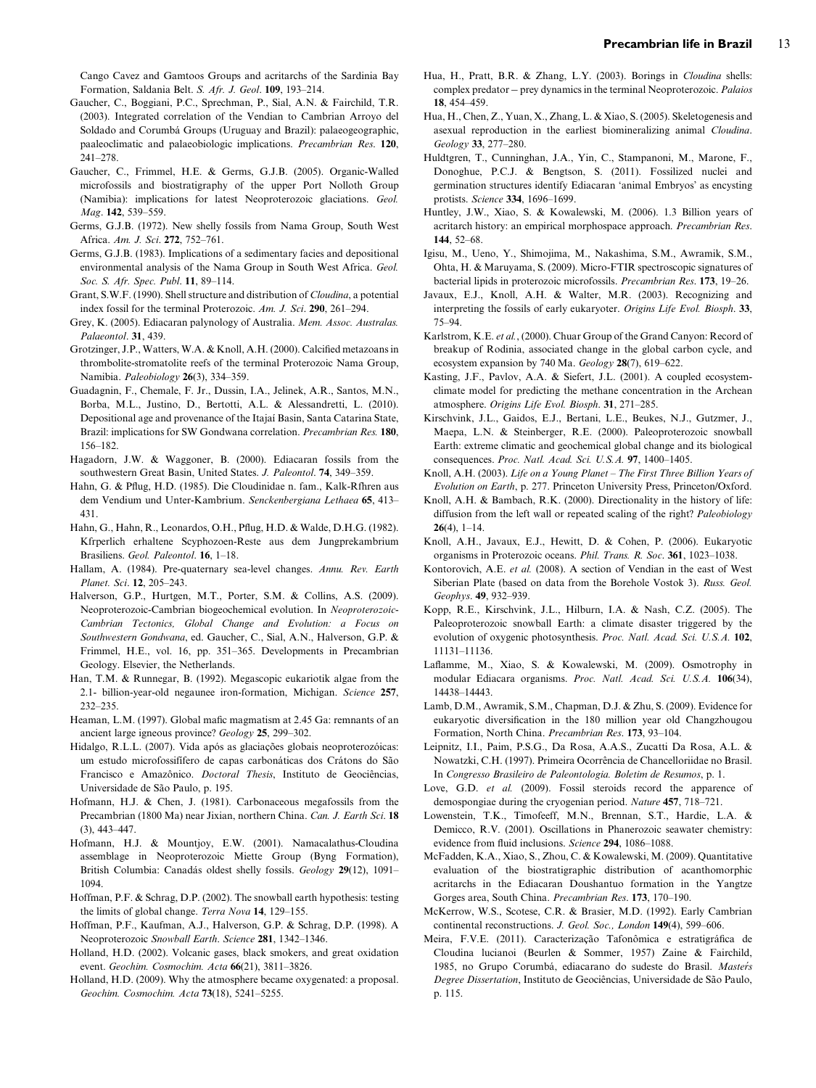<span id="page-12-0"></span>Cango Cavez and Gamtoos Groups and acritarchs of the Sardinia Bay Formation, Saldania Belt. S. Afr. J. Geol. 109, 193–214.

- Gaucher, C., Boggiani, P.C., Sprechman, P., Sial, A.N. & Fairchild, T.R. (2003). Integrated correlation of the Vendian to Cambrian Arroyo del Soldado and Corumbá Groups (Uruguay and Brazil): palaeogeographic, paaleoclimatic and palaeobiologic implications. Precambrian Res. 120, 241–278.
- Gaucher, C., Frimmel, H.E. & Germs, G.J.B. (2005). Organic-Walled microfossils and biostratigraphy of the upper Port Nolloth Group (Namibia): implications for latest Neoproterozoic glaciations. Geol. Mag. 142, 539–559.
- Germs, G.J.B. (1972). New shelly fossils from Nama Group, South West Africa. Am. J. Sci. 272, 752–761.
- Germs, G.J.B. (1983). Implications of a sedimentary facies and depositional environmental analysis of the Nama Group in South West Africa. Geol. Soc. S. Afr. Spec. Publ. 11, 89–114.
- Grant, S.W.F. (1990). Shell structure and distribution of Cloudina, a potential index fossil for the terminal Proterozoic. Am. J. Sci. 290, 261–294.
- Grey, K. (2005). Ediacaran palynology of Australia. Mem. Assoc. Australas. Palaeontol. 31, 439.
- Grotzinger, J.P., Watters, W.A. & Knoll, A.H. (2000). Calcified metazoans in thrombolite-stromatolite reefs of the terminal Proterozoic Nama Group, Namibia. Paleobiology 26(3), 334-359.
- Guadagnin, F., Chemale, F. Jr., Dussin, I.A., Jelinek, A.R., Santos, M.N., Borba, M.L., Justino, D., Bertotti, A.L. & Alessandretti, L. (2010). Depositional age and provenance of the Itajaí Basin, Santa Catarina State, Brazil: implications for SW Gondwana correlation. Precambrian Res. 180, 156–182.
- Hagadorn, J.W. & Waggoner, B. (2000). Ediacaran fossils from the southwestern Great Basin, United States. J. Paleontol. 74, 349–359.
- Hahn, G. & Pflug, H.D. (1985). Die Cloudinidae n. fam., Kalk-Rfhren aus dem Vendium und Unter-Kambrium. Senckenbergiana Lethaea 65, 413– 431.
- Hahn, G., Hahn, R., Leonardos, O.H., Pflug, H.D. & Walde, D.H.G. (1982). Kfrperlich erhaltene Scyphozoen-Reste aus dem Jungprekambrium Brasiliens. Geol. Paleontol. 16, 1–18.
- Hallam, A. (1984). Pre-quaternary sea-level changes. Annu. Rev. Earth Planet. Sci. 12, 205–243.
- Halverson, G.P., Hurtgen, M.T., Porter, S.M. & Collins, A.S. (2009). Neoproterozoic-Cambrian biogeochemical evolution. In Neoproterozoic-Cambrian Tectonics, Global Change and Evolution: a Focus on Southwestern Gondwana, ed. Gaucher, C., Sial, A.N., Halverson, G.P. & Frimmel, H.E., vol. 16, pp. 351–365. Developments in Precambrian Geology. Elsevier, the Netherlands.
- Han, T.M. & Runnegar, B. (1992). Megascopic eukariotik algae from the 2.1- billion-year-old negaunee iron-formation, Michigan. Science 257, 232–235.
- Heaman, L.M. (1997). Global mafic magmatism at 2.45 Ga: remnants of an ancient large igneous province? Geology 25, 299–302.
- Hidalgo, R.L.L. (2007). Vida após as glaciações globais neoproterozóicas: um estudo microfossifífero de capas carbonáticas dos Crátons do São Francisco e Amazônico. Doctoral Thesis, Instituto de Geociências, Universidade de São Paulo, p. 195.
- Hofmann, H.J. & Chen, J. (1981). Carbonaceous megafossils from the Precambrian (1800 Ma) near Jixian, northern China. Can. J. Earth Sci. 18 (3), 443–447.
- Hofmann, H.J. & Mountjoy, E.W. (2001). Namacalathus-Cloudina assemblage in Neoproterozoic Miette Group (Byng Formation), British Columbia: Canadás oldest shelly fossils. Geology 29(12), 1091-1094.
- Hoffman, P.F. & Schrag, D.P. (2002). The snowball earth hypothesis: testing the limits of global change. Terra Nova 14, 129–155.
- Hoffman, P.F., Kaufman, A.J., Halverson, G.P. & Schrag, D.P. (1998). A Neoproterozoic Snowball Earth. Science 281, 1342–1346.
- Holland, H.D. (2002). Volcanic gases, black smokers, and great oxidation event. Geochim. Cosmochim. Acta 66(21), 3811–3826.
- Holland, H.D. (2009). Why the atmosphere became oxygenated: a proposal. Geochim. Cosmochim. Acta 73(18), 5241–5255.
- Hua, H., Pratt, B.R. & Zhang, L.Y. (2003). Borings in Cloudina shells: complex predator−prey dynamics in the terminal Neoproterozoic. Palaios 18, 454–459.
- Hua, H., Chen, Z., Yuan, X., Zhang, L. & Xiao, S. (2005). Skeletogenesis and asexual reproduction in the earliest biomineralizing animal Cloudina. Geology 33, 277–280.
- Huldtgren, T., Cunninghan, J.A., Yin, C., Stampanoni, M., Marone, F., Donoghue, P.C.J. & Bengtson, S. (2011). Fossilized nuclei and germination structures identify Ediacaran 'animal Embryos' as encysting protists. Science 334, 1696–1699.
- Huntley, J.W., Xiao, S. & Kowalewski, M. (2006). 1.3 Billion years of acritarch history: an empirical morphospace approach. Precambrian Res. 144, 52–68.
- Igisu, M., Ueno, Y., Shimojima, M., Nakashima, S.M., Awramik, S.M., Ohta, H. & Maruyama, S. (2009). Micro-FTIR spectroscopic signatures of bacterial lipids in proterozoic microfossils. Precambrian Res. 173, 19–26.
- Javaux, E.J., Knoll, A.H. & Walter, M.R. (2003). Recognizing and interpreting the fossils of early eukaryoter. Origins Life Evol. Biosph. 33, 75–94.
- Karlstrom, K.E. et al., (2000). Chuar Group of the Grand Canyon: Record of breakup of Rodinia, associated change in the global carbon cycle, and ecosystem expansion by 740 Ma. Geology 28(7), 619–622.
- Kasting, J.F., Pavlov, A.A. & Siefert, J.L. (2001). A coupled ecosystemclimate model for predicting the methane concentration in the Archean atmosphere. Origins Life Evol. Biosph. 31, 271–285.
- Kirschvink, J.L., Gaidos, E.J., Bertani, L.E., Beukes, N.J., Gutzmer, J., Maepa, L.N. & Steinberger, R.E. (2000). Paleoproterozoic snowball Earth: extreme climatic and geochemical global change and its biological consequences. Proc. Natl. Acad. Sci. U.S.A. 97, 1400–1405.
- Knoll, A.H. (2003). Life on a Young Planet The First Three Billion Years of Evolution on Earth, p. 277. Princeton University Press, Princeton/Oxford.
- Knoll, A.H. & Bambach, R.K. (2000). Directionality in the history of life: diffusion from the left wall or repeated scaling of the right? Paleobiology  $26(4)$ , 1–14.
- Knoll, A.H., Javaux, E.J., Hewitt, D. & Cohen, P. (2006). Eukaryotic organisms in Proterozoic oceans. Phil. Trans. R. Soc. 361, 1023–1038.
- Kontorovich, A.E. et al. (2008). A section of Vendian in the east of West Siberian Plate (based on data from the Borehole Vostok 3). Russ. Geol. Geophys. 49, 932–939.
- Kopp, R.E., Kirschvink, J.L., Hilburn, I.A. & Nash, C.Z. (2005). The Paleoproterozoic snowball Earth: a climate disaster triggered by the evolution of oxygenic photosynthesis. Proc. Natl. Acad. Sci. U.S.A. 102, 11131–11136.
- Laflamme, M., Xiao, S. & Kowalewski, M. (2009). Osmotrophy in modular Ediacara organisms. Proc. Natl. Acad. Sci. U.S.A. 106(34), 14438–14443.
- Lamb, D.M., Awramik, S.M., Chapman, D.J. & Zhu, S. (2009). Evidence for eukaryotic diversification in the 180 million year old Changzhougou Formation, North China. Precambrian Res. 173, 93–104.
- Leipnitz, I.I., Paim, P.S.G., Da Rosa, A.A.S., Zucatti Da Rosa, A.L. & Nowatzki, C.H. (1997). Primeira Ocorrência de Chancelloriidae no Brasil. In Congresso Brasileiro de Paleontologia. Boletim de Resumos, p. 1.
- Love, G.D. et al. (2009). Fossil steroids record the apparence of demospongiae during the cryogenian period. Nature 457, 718–721.
- Lowenstein, T.K., Timofeeff, M.N., Brennan, S.T., Hardie, L.A. & Demicco, R.V. (2001). Oscillations in Phanerozoic seawater chemistry: evidence from fluid inclusions. Science 294, 1086–1088.
- McFadden, K.A., Xiao, S., Zhou, C. & Kowalewski, M. (2009). Quantitative evaluation of the biostratigraphic distribution of acanthomorphic acritarchs in the Ediacaran Doushantuo formation in the Yangtze Gorges area, South China. Precambrian Res. 173, 170–190.
- McKerrow, W.S., Scotese, C.R. & Brasier, M.D. (1992). Early Cambrian continental reconstructions. J. Geol. Soc., London 149(4), 599–606.
- Meira, F.V.E. (2011). Caracterização Tafonômica e estratigráfica de Cloudina lucianoi (Beurlen & Sommer, 1957) Zaine & Fairchild, 1985, no Grupo Corumbá, ediacarano do sudeste do Brasil. Master's Degree Dissertation, Instituto de Geociências, Universidade de São Paulo, p. 115.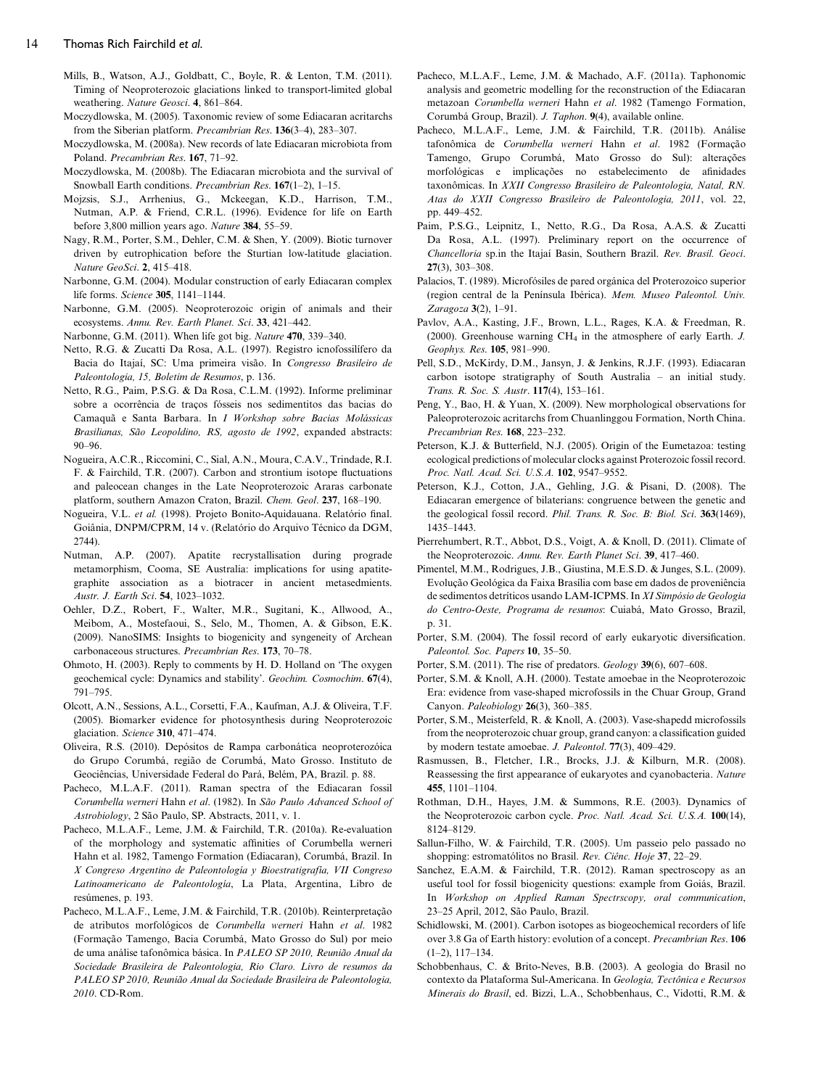#### <span id="page-13-0"></span>14 Thomas Rich Fairchild et al.

- Mills, B., Watson, A.J., Goldbatt, C., Boyle, R. & Lenton, T.M. (2011). Timing of Neoproterozoic glaciations linked to transport-limited global weathering. Nature Geosci. 4, 861–864.
- Moczydlowska, M. (2005). Taxonomic review of some Ediacaran acritarchs from the Siberian platform. Precambrian Res. 136(3–4), 283–307.
- Moczydlowska, M. (2008a). New records of late Ediacaran microbiota from Poland. Precambrian Res. 167, 71–92.
- Moczydlowska, M. (2008b). The Ediacaran microbiota and the survival of Snowball Earth conditions. Precambrian Res. 167(1–2), 1–15.
- Mojzsis, S.J., Arrhenius, G., Mckeegan, K.D., Harrison, T.M., Nutman, A.P. & Friend, C.R.L. (1996). Evidence for life on Earth before 3,800 million years ago. Nature 384, 55–59.
- Nagy, R.M., Porter, S.M., Dehler, C.M. & Shen, Y. (2009). Biotic turnover driven by eutrophication before the Sturtian low-latitude glaciation. Nature GeoSci. 2, 415–418.
- Narbonne, G.M. (2004). Modular construction of early Ediacaran complex life forms. Science 305, 1141–1144.
- Narbonne, G.M. (2005). Neoproterozoic origin of animals and their ecosystems. Annu. Rev. Earth Planet. Sci. 33, 421–442.
- Narbonne, G.M. (2011). When life got big. Nature 470, 339–340.
- Netto, R.G. & Zucatti Da Rosa, A.L. (1997). Registro icnofossilífero da Bacia do Itajaí, SC: Uma primeira visão. In Congresso Brasileiro de Paleontologia, 15, Boletim de Resumos, p. 136.
- Netto, R.G., Paim, P.S.G. & Da Rosa, C.L.M. (1992). Informe preliminar sobre a ocorrência de traços fósseis nos sedimentitos das bacias do Camaquã e Santa Barbara. In I Workshop sobre Bacias Molássicas Brasilianas, São Leopoldino, RS, agosto de 1992, expanded abstracts: 90–96.
- Nogueira, A.C.R., Riccomini, C., Sial, A.N., Moura, C.A.V., Trindade, R.I. F. & Fairchild, T.R. (2007). Carbon and strontium isotope fluctuations and paleocean changes in the Late Neoproterozoic Araras carbonate platform, southern Amazon Craton, Brazil. Chem. Geol. 237, 168–190.
- Nogueira, V.L. et al. (1998). Projeto Bonito-Aquidauana. Relatório final. Goiânia, DNPM/CPRM, 14 v. (Relatório do Arquivo Técnico da DGM, 2744).
- Nutman, A.P. (2007). Apatite recrystallisation during prograde metamorphism, Cooma, SE Australia: implications for using apatitegraphite association as a biotracer in ancient metasedmients. Austr. J. Earth Sci. 54, 1023–1032.
- Oehler, D.Z., Robert, F., Walter, M.R., Sugitani, K., Allwood, A., Meibom, A., Mostefaoui, S., Selo, M., Thomen, A. & Gibson, E.K. (2009). NanoSIMS: Insights to biogenicity and syngeneity of Archean carbonaceous structures. Precambrian Res. 173, 70–78.
- Ohmoto, H. (2003). Reply to comments by H. D. Holland on 'The oxygen geochemical cycle: Dynamics and stability'. Geochim. Cosmochim. 67(4), 791–795.
- Olcott, A.N., Sessions, A.L., Corsetti, F.A., Kaufman, A.J. & Oliveira, T.F. (2005). Biomarker evidence for photosynthesis during Neoproterozoic glaciation. Science 310, 471–474.
- Oliveira, R.S. (2010). Depósitos de Rampa carbonática neoproterozóica do Grupo Corumbá, região de Corumbá, Mato Grosso. Instituto de Geociências, Universidade Federal do Pará, Belém, PA, Brazil. p. 88.
- Pacheco, M.L.A.F. (2011). Raman spectra of the Ediacaran fossil Corumbella werneri Hahn et al. (1982). In São Paulo Advanced School of Astrobiology, 2 São Paulo, SP. Abstracts, 2011, v. 1.
- Pacheco, M.L.A.F., Leme, J.M. & Fairchild, T.R. (2010a). Re-evaluation of the morphology and systematic affinities of Corumbella werneri Hahn et al. 1982, Tamengo Formation (Ediacaran), Corumbá, Brazil. In X Congreso Argentino de Paleontología y Bioestratigrafía, VII Congreso Latinoamericano de Paleontología, La Plata, Argentina, Libro de resúmenes, p. 193.
- Pacheco, M.L.A.F., Leme, J.M. & Fairchild, T.R. (2010b). Reinterpretação de atributos morfológicos de Corumbella werneri Hahn et al. 1982 (Formação Tamengo, Bacia Corumbá, Mato Grosso do Sul) por meio de uma análise tafonômica básica. In PALEO SP 2010, Reunião Anual da Sociedade Brasileira de Paleontologia, Rio Claro. Livro de resumos da PALEO SP 2010, Reunião Anual da Sociedade Brasileira de Paleontologia, 2010. CD-Rom.
- Pacheco, M.L.A.F., Leme, J.M. & Machado, A.F. (2011a). Taphonomic analysis and geometric modelling for the reconstruction of the Ediacaran metazoan Corumbella werneri Hahn et al. 1982 (Tamengo Formation, Corumbá Group, Brazil). J. Taphon. 9(4), available online.
- Pacheco, M.L.A.F., Leme, J.M. & Fairchild, T.R. (2011b). Análise tafonômica de Corumbella werneri Hahn et al. 1982 (Formação Tamengo, Grupo Corumbá, Mato Grosso do Sul): alterações morfológicas e implicações no estabelecimento de afinidades taxonômicas. In XXII Congresso Brasileiro de Paleontologia, Natal, RN. Atas do XXII Congresso Brasileiro de Paleontologia, 2011, vol. 22, pp. 449–452.
- Paim, P.S.G., Leipnitz, I., Netto, R.G., Da Rosa, A.A.S. & Zucatti Da Rosa, A.L. (1997). Preliminary report on the occurrence of Chancelloria sp.in the Itajaí Basin, Southern Brazil. Rev. Brasil. Geoci. 27(3), 303–308.
- Palacios, T. (1989). Microfósiles de pared orgánica del Proterozoico superior (region central de la Península Ibérica). Mem. Museo Paleontol. Univ. Zaragoza 3(2), 1–91.
- Pavlov, A.A., Kasting, J.F., Brown, L.L., Rages, K.A. & Freedman, R. (2000). Greenhouse warning  $CH_4$  in the atmosphere of early Earth. J. Geophys. Res. 105, 981–990.
- Pell, S.D., McKirdy, D.M., Jansyn, J. & Jenkins, R.J.F. (1993). Ediacaran carbon isotope stratigraphy of South Australia – an initial study. Trans. R. Soc. S. Austr. 117(4), 153–161.
- Peng, Y., Bao, H. & Yuan, X. (2009). New morphological observations for Paleoproterozoic acritarchs from Chuanlinggou Formation, North China. Precambrian Res. 168, 223–232.
- Peterson, K.J. & Butterfield, N.J. (2005). Origin of the Eumetazoa: testing ecological predictions of molecular clocks against Proterozoic fossil record. Proc. Natl. Acad. Sci. U.S.A. 102, 9547–9552.
- Peterson, K.J., Cotton, J.A., Gehling, J.G. & Pisani, D. (2008). The Ediacaran emergence of bilaterians: congruence between the genetic and the geological fossil record. Phil. Trans. R. Soc. B: Biol. Sci. 363(1469), 1435–1443.
- Pierrehumbert, R.T., Abbot, D.S., Voigt, A. & Knoll, D. (2011). Climate of the Neoproterozoic. Annu. Rev. Earth Planet Sci. 39, 417–460.
- Pimentel, M.M., Rodrigues, J.B., Giustina, M.E.S.D. & Junges, S.L. (2009). Evolução Geológica da Faixa Brasília com base em dados de proveniência de sedimentos detríticos usando LAM-ICPMS. In XI Simpósio de Geologia do Centro-Oeste, Programa de resumos: Cuiabá, Mato Grosso, Brazil, p. 31.
- Porter, S.M. (2004). The fossil record of early eukaryotic diversification. Paleontol. Soc. Papers 10, 35–50.
- Porter, S.M. (2011). The rise of predators. Geology 39(6), 607-608.
- Porter, S.M. & Knoll, A.H. (2000). Testate amoebae in the Neoproterozoic Era: evidence from vase-shaped microfossils in the Chuar Group, Grand Canyon. Paleobiology 26(3), 360–385.
- Porter, S.M., Meisterfeld, R. & Knoll, A. (2003). Vase-shapedd microfossils from the neoproterozoic chuar group, grand canyon: a classification guided by modern testate amoebae. J. Paleontol. 77(3), 409–429.
- Rasmussen, B., Fletcher, I.R., Brocks, J.J. & Kilburn, M.R. (2008). Reassessing the first appearance of eukaryotes and cyanobacteria. Nature 455, 1101–1104.
- Rothman, D.H., Hayes, J.M. & Summons, R.E. (2003). Dynamics of the Neoproterozoic carbon cycle. Proc. Natl. Acad. Sci. U.S.A. 100(14), 8124–8129.
- Sallun-Filho, W. & Fairchild, T.R. (2005). Um passeio pelo passado no shopping: estromatólitos no Brasil. Rev. Ciênc. Hoje 37, 22–29.
- Sanchez, E.A.M. & Fairchild, T.R. (2012). Raman spectroscopy as an useful tool for fossil biogenicity questions: example from Goiás, Brazil. In Workshop on Applied Raman Spectrscopy, oral communication, 23–25 April, 2012, São Paulo, Brazil.
- Schidlowski, M. (2001). Carbon isotopes as biogeochemical recorders of life over 3.8 Ga of Earth history: evolution of a concept. Precambrian Res. 106 (1–2), 117–134.
- Schobbenhaus, C. & Brito-Neves, B.B. (2003). A geologia do Brasil no contexto da Plataforma Sul-Americana. In Geologia, Tectônica e Recursos Minerais do Brasil, ed. Bizzi, L.A., Schobbenhaus, C., Vidotti, R.M. &